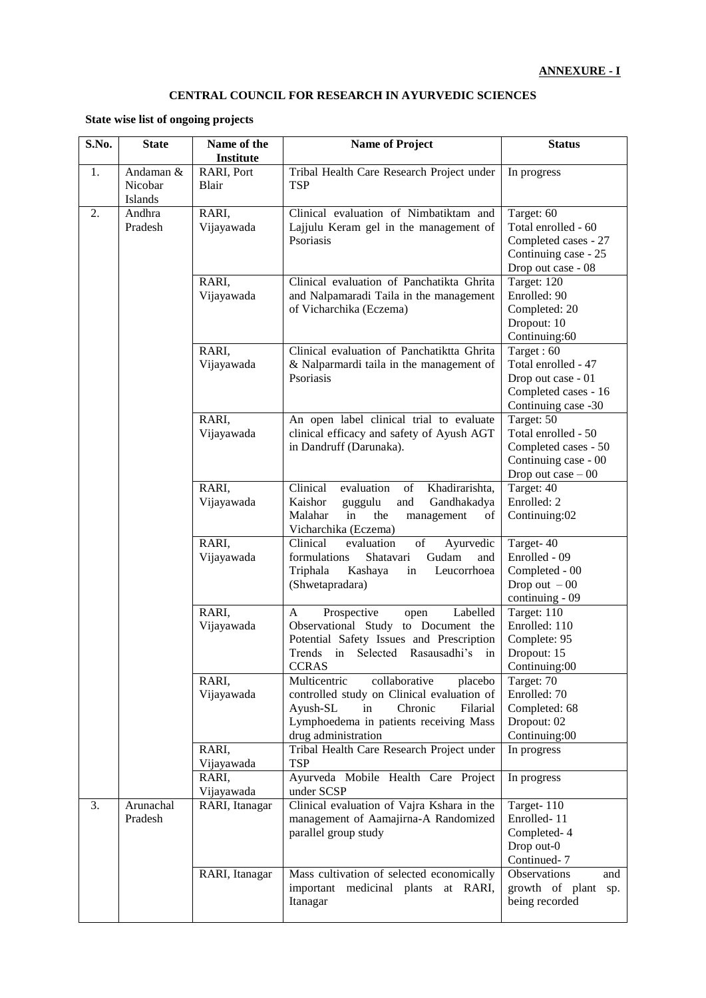## **CENTRAL COUNCIL FOR RESEARCH IN AYURVEDIC SCIENCES**

## **State wise list of ongoing projects**

| S.No. | <b>State</b>                    | Name of the<br><b>Institute</b> | <b>Name of Project</b>                                                                                                                                                                           | <b>Status</b>                                                                                            |
|-------|---------------------------------|---------------------------------|--------------------------------------------------------------------------------------------------------------------------------------------------------------------------------------------------|----------------------------------------------------------------------------------------------------------|
| 1.    | Andaman &<br>Nicobar<br>Islands | RARI, Port<br>Blair             | Tribal Health Care Research Project under<br><b>TSP</b>                                                                                                                                          | In progress                                                                                              |
| 2.    | Andhra<br>Pradesh               | RARI,<br>Vijayawada             | Clinical evaluation of Nimbatiktam and<br>Lajjulu Keram gel in the management of<br>Psoriasis                                                                                                    | Target: 60<br>Total enrolled - 60<br>Completed cases - 27<br>Continuing case - 25<br>Drop out case - 08  |
|       |                                 | RARI,<br>Vijayawada             | Clinical evaluation of Panchatikta Ghrita<br>and Nalpamaradi Taila in the management<br>of Vicharchika (Eczema)                                                                                  | Target: 120<br>Enrolled: 90<br>Completed: 20<br>Dropout: 10<br>Continuing:60                             |
|       |                                 | RARI,<br>Vijayawada             | Clinical evaluation of Panchatiktta Ghrita<br>& Nalparmardi taila in the management of<br>Psoriasis                                                                                              | Target: 60<br>Total enrolled - 47<br>Drop out case - 01<br>Completed cases - 16<br>Continuing case -30   |
|       |                                 | RARI,<br>Vijayawada             | An open label clinical trial to evaluate<br>clinical efficacy and safety of Ayush AGT<br>in Dandruff (Darunaka).                                                                                 | Target: 50<br>Total enrolled - 50<br>Completed cases - 50<br>Continuing case - 00<br>Drop out case $-00$ |
|       |                                 | RARI,<br>Vijayawada             | Clinical<br>evaluation<br>Khadirarishta,<br>of<br>Kaishor<br>Gandhakadya<br>guggulu<br>and<br>Malahar<br>in<br>the<br>management<br>of<br>Vicharchika (Eczema)                                   | Target: 40<br>Enrolled: 2<br>Continuing:02                                                               |
|       |                                 | RARI,<br>Vijayawada             | of<br>Clinical<br>evaluation<br>Ayurvedic<br>Shatavari<br>Gudam<br>formulations<br>and<br>Triphala<br>Kashaya<br>Leucorrhoea<br>in<br>(Shwetapradara)                                            | Target-40<br>Enrolled - 09<br>Completed - 00<br>Drop out $-00$<br>continuing - 09                        |
|       |                                 | RARI,<br>Vijayawada             | Prospective<br>Labelled<br>A<br>open<br>Observational Study to Document the<br>Potential Safety Issues and Prescription<br>Trends in Selected Rasausadhi's<br>$\mathbf{in}$<br><b>CCRAS</b>      | Target: 110<br>Enrolled: 110<br>Complete: 95<br>Dropout: 15<br>Continuing:00                             |
|       |                                 | RARI,<br>Vijayawada             | collaborative<br>Multicentric<br>placebo<br>controlled study on Clinical evaluation of<br>Chronic<br>Filarial<br>Ayush-SL<br>in<br>Lymphoedema in patients receiving Mass<br>drug administration | Target: 70<br>Enrolled: 70<br>Completed: 68<br>Dropout: 02<br>Continuing:00                              |
|       |                                 | RARI,<br>Vijayawada<br>RARI,    | Tribal Health Care Research Project under<br><b>TSP</b><br>Ayurveda Mobile Health Care Project                                                                                                   | In progress<br>In progress                                                                               |
| 3.    | Arunachal<br>Pradesh            | Vijayawada<br>RARI, Itanagar    | under SCSP<br>Clinical evaluation of Vajra Kshara in the<br>management of Aamajirna-A Randomized<br>parallel group study                                                                         | Target-110<br>Enrolled-11<br>Completed-4<br>Drop out-0<br>Continued-7                                    |
|       |                                 | RARI, Itanagar                  | Mass cultivation of selected economically<br>important medicinal plants at RARI,<br>Itanagar                                                                                                     | Observations<br>and<br>growth of plant<br>sp.<br>being recorded                                          |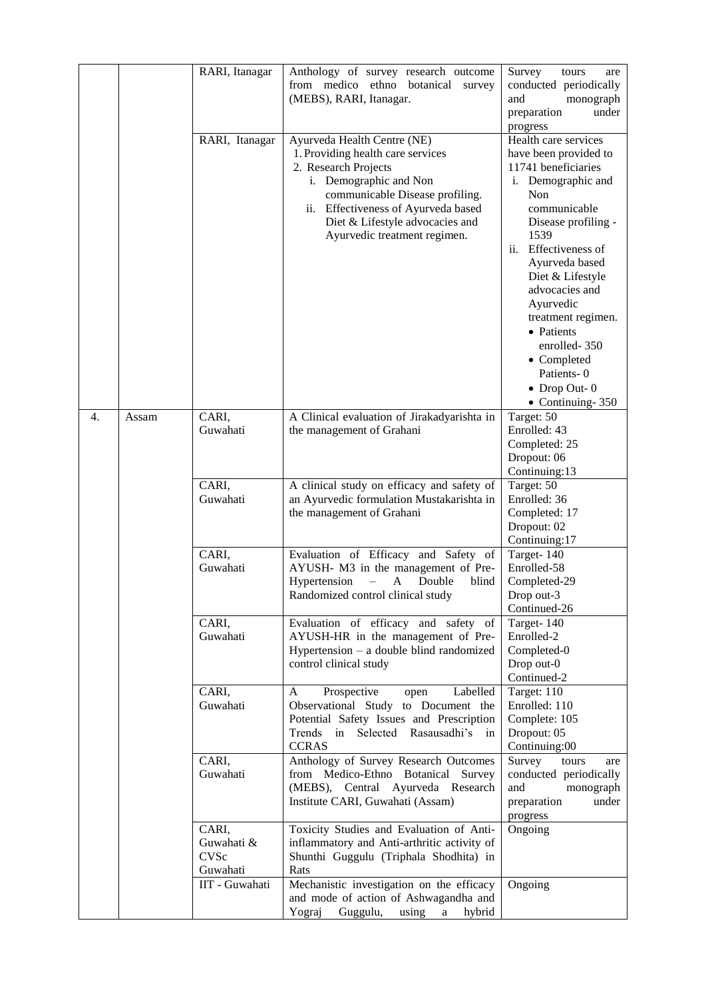|    |       | RARI, Itanagar<br>RARI, Itanagar               | Anthology of survey research outcome<br>from medico ethno botanical survey<br>(MEBS), RARI, Itanagar.<br>Ayurveda Health Centre (NE)                                                                                             | Survey<br>tours<br>are<br>conducted periodically<br>monograph<br>and<br>preparation<br>under<br>progress<br>Health care services                                                                                                                                                                                                                               |
|----|-------|------------------------------------------------|----------------------------------------------------------------------------------------------------------------------------------------------------------------------------------------------------------------------------------|----------------------------------------------------------------------------------------------------------------------------------------------------------------------------------------------------------------------------------------------------------------------------------------------------------------------------------------------------------------|
|    |       |                                                | 1. Providing health care services<br>2. Research Projects<br>i. Demographic and Non<br>communicable Disease profiling.<br>ii. Effectiveness of Ayurveda based<br>Diet & Lifestyle advocacies and<br>Ayurvedic treatment regimen. | have been provided to<br>11741 beneficiaries<br>i. Demographic and<br>Non<br>communicable<br>Disease profiling -<br>1539<br>Effectiveness of<br>ii.<br>Ayurveda based<br>Diet & Lifestyle<br>advocacies and<br>Ayurvedic<br>treatment regimen.<br>• Patients<br>enrolled-350<br>• Completed<br>Patients-0<br>$\bullet$ Drop Out- 0<br>$\bullet$ Continuing-350 |
| 4. | Assam | CARI,<br>Guwahati                              | A Clinical evaluation of Jirakadyarishta in<br>the management of Grahani                                                                                                                                                         | Target: 50<br>Enrolled: 43<br>Completed: 25<br>Dropout: 06<br>Continuing:13                                                                                                                                                                                                                                                                                    |
|    |       | CARI,<br>Guwahati                              | A clinical study on efficacy and safety of<br>an Ayurvedic formulation Mustakarishta in<br>the management of Grahani                                                                                                             | Target: 50<br>Enrolled: 36<br>Completed: 17<br>Dropout: 02<br>Continuing:17                                                                                                                                                                                                                                                                                    |
|    |       | CARI,<br>Guwahati                              | Evaluation of Efficacy and Safety of<br>AYUSH- M3 in the management of Pre-<br>Hypertension<br>- A Double<br>blind<br>Randomized control clinical study                                                                          | Target-140<br>Enrolled-58<br>Completed-29<br>Drop out-3<br>Continued-26                                                                                                                                                                                                                                                                                        |
|    |       | CARI,<br>Guwahati                              | Evaluation of efficacy and safety of<br>AYUSH-HR in the management of Pre-<br>Hypertension - a double blind randomized<br>control clinical study                                                                                 | Target-140<br>Enrolled-2<br>Completed-0<br>Drop out-0<br>Continued-2                                                                                                                                                                                                                                                                                           |
|    |       | CARI,<br>Guwahati                              | Prospective<br>Labelled<br>A<br>open<br>Observational Study to Document the<br>Potential Safety Issues and Prescription<br>Selected Rasausadhi's<br>Trends in<br>in<br><b>CCRAS</b>                                              | Target: 110<br>Enrolled: 110<br>Complete: 105<br>Dropout: 05<br>Continuing:00                                                                                                                                                                                                                                                                                  |
|    |       | CARI,<br>Guwahati                              | Anthology of Survey Research Outcomes<br>from Medico-Ethno Botanical<br>Survey<br>(MEBS), Central Ayurveda Research<br>Institute CARI, Guwahati (Assam)                                                                          | Survey<br>tours<br>are<br>conducted periodically<br>and<br>monograph<br>preparation<br>under<br>progress                                                                                                                                                                                                                                                       |
|    |       | CARI,<br>Guwahati &<br><b>CVSc</b><br>Guwahati | Toxicity Studies and Evaluation of Anti-<br>inflammatory and Anti-arthritic activity of<br>Shunthi Guggulu (Triphala Shodhita) in<br>Rats                                                                                        | Ongoing                                                                                                                                                                                                                                                                                                                                                        |
|    |       | IIT - Guwahati                                 | Mechanistic investigation on the efficacy<br>and mode of action of Ashwagandha and<br>Guggulu,<br>Yograj<br>using<br>hybrid<br>$\mathbf{a}$                                                                                      | Ongoing                                                                                                                                                                                                                                                                                                                                                        |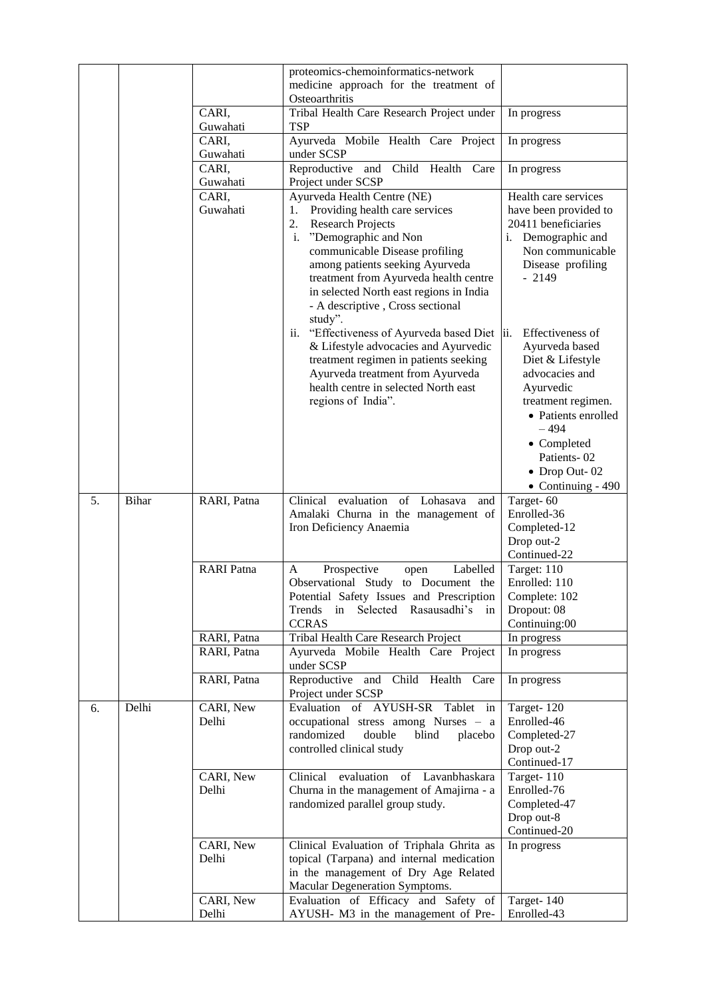|    |       |                            | proteomics-chemoinformatics-network<br>medicine approach for the treatment of<br>Osteoarthritis                                                                                                                                                                                                                                                                                                                                                                                                                                                                               |                                                                                                                                                                                                                                                                                                                                                       |
|----|-------|----------------------------|-------------------------------------------------------------------------------------------------------------------------------------------------------------------------------------------------------------------------------------------------------------------------------------------------------------------------------------------------------------------------------------------------------------------------------------------------------------------------------------------------------------------------------------------------------------------------------|-------------------------------------------------------------------------------------------------------------------------------------------------------------------------------------------------------------------------------------------------------------------------------------------------------------------------------------------------------|
|    |       | CARI,<br>Guwahati          | Tribal Health Care Research Project under<br>TSP                                                                                                                                                                                                                                                                                                                                                                                                                                                                                                                              | In progress                                                                                                                                                                                                                                                                                                                                           |
|    |       | CARI,<br>Guwahati          | Ayurveda Mobile Health Care Project<br>under SCSP                                                                                                                                                                                                                                                                                                                                                                                                                                                                                                                             | In progress                                                                                                                                                                                                                                                                                                                                           |
|    |       | CARI,<br>Guwahati          | Child<br>Reproductive and<br>Health<br>Care<br>Project under SCSP                                                                                                                                                                                                                                                                                                                                                                                                                                                                                                             | In progress                                                                                                                                                                                                                                                                                                                                           |
|    |       | CARI,<br>Guwahati          | Ayurveda Health Centre (NE)<br>Providing health care services<br>1.<br>2.<br><b>Research Projects</b><br>i. "Demographic and Non<br>communicable Disease profiling<br>among patients seeking Ayurveda<br>treatment from Ayurveda health centre<br>in selected North east regions in India<br>- A descriptive, Cross sectional<br>study".<br>ii. "Effectiveness of Ayurveda based Diet  ii.<br>& Lifestyle advocacies and Ayurvedic<br>treatment regimen in patients seeking<br>Ayurveda treatment from Ayurveda<br>health centre in selected North east<br>regions of India". | Health care services<br>have been provided to<br>20411 beneficiaries<br>i. Demographic and<br>Non communicable<br>Disease profiling<br>$-2149$<br>Effectiveness of<br>Ayurveda based<br>Diet & Lifestyle<br>advocacies and<br>Ayurvedic<br>treatment regimen.<br>• Patients enrolled<br>$-494$<br>• Completed<br>Patients-02<br>$\bullet$ Drop Out-02 |
| 5. | Bihar | RARI, Patna                | evaluation<br>of<br>Lohasava<br>Clinical<br>and<br>Amalaki Churna in the management of<br>Iron Deficiency Anaemia                                                                                                                                                                                                                                                                                                                                                                                                                                                             | $\bullet$ Continuing - 490<br>Target-60<br>Enrolled-36<br>Completed-12<br>Drop out-2<br>Continued-22                                                                                                                                                                                                                                                  |
|    |       | <b>RARI</b> Patna          | Prospective<br>Labelled<br>A<br>open<br>Observational Study to Document the<br>Potential Safety Issues and Prescription<br>Selected<br>Rasausadhi's<br>Trends<br>in<br>in<br><b>CCRAS</b>                                                                                                                                                                                                                                                                                                                                                                                     | Target: 110<br>Enrolled: 110<br>Complete: 102<br>Dropout: 08<br>Continuing:00                                                                                                                                                                                                                                                                         |
|    |       | RARI, Patna<br>RARI, Patna | Tribal Health Care Research Project<br>Ayurveda Mobile Health Care Project                                                                                                                                                                                                                                                                                                                                                                                                                                                                                                    | In progress<br>In progress                                                                                                                                                                                                                                                                                                                            |
|    |       | RARI, Patna                | under SCSP<br>Reproductive and Child Health Care                                                                                                                                                                                                                                                                                                                                                                                                                                                                                                                              | In progress                                                                                                                                                                                                                                                                                                                                           |
|    |       |                            | Project under SCSP                                                                                                                                                                                                                                                                                                                                                                                                                                                                                                                                                            |                                                                                                                                                                                                                                                                                                                                                       |
| 6. | Delhi | CARI, New<br>Delhi         | Tablet in<br>Evaluation of AYUSH-SR<br>occupational stress among Nurses - a<br>randomized<br>double<br>blind<br>placebo<br>controlled clinical study                                                                                                                                                                                                                                                                                                                                                                                                                          | Target-120<br>Enrolled-46<br>Completed-27<br>Drop out-2<br>Continued-17                                                                                                                                                                                                                                                                               |
|    |       | CARI, New<br>Delhi         | evaluation<br>of Lavanbhaskara<br>Clinical<br>Churna in the management of Amajirna - a<br>randomized parallel group study.                                                                                                                                                                                                                                                                                                                                                                                                                                                    | Target-110<br>Enrolled-76<br>Completed-47<br>Drop out-8<br>Continued-20                                                                                                                                                                                                                                                                               |
|    |       | CARI, New<br>Delhi         | Clinical Evaluation of Triphala Ghrita as<br>topical (Tarpana) and internal medication                                                                                                                                                                                                                                                                                                                                                                                                                                                                                        | In progress                                                                                                                                                                                                                                                                                                                                           |
|    |       |                            | in the management of Dry Age Related<br>Macular Degeneration Symptoms.                                                                                                                                                                                                                                                                                                                                                                                                                                                                                                        |                                                                                                                                                                                                                                                                                                                                                       |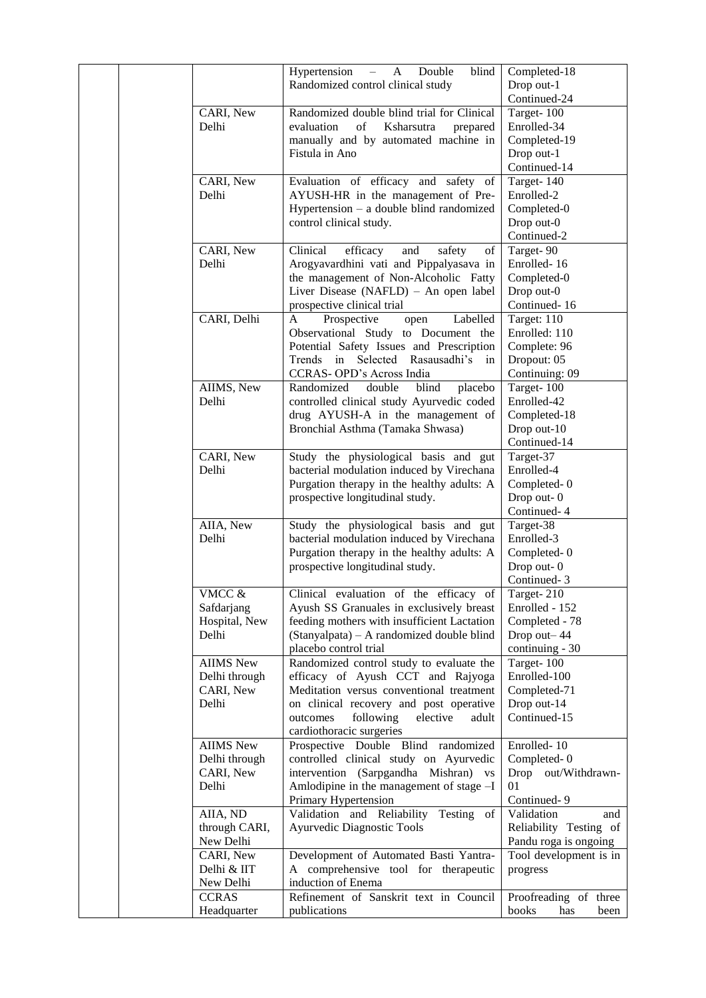|  |                                                                                                 | $- A$<br>Double<br>blind<br>Hypertension<br>Randomized control clinical study                                                                                                                                                                  | Completed-18<br>Drop out-1                                                                                                          |
|--|-------------------------------------------------------------------------------------------------|------------------------------------------------------------------------------------------------------------------------------------------------------------------------------------------------------------------------------------------------|-------------------------------------------------------------------------------------------------------------------------------------|
|  | CARI, New<br>Delhi                                                                              | Randomized double blind trial for Clinical<br>of<br>evaluation<br>Ksharsutra<br>prepared<br>manually and by automated machine in<br>Fistula in Ano                                                                                             | Continued-24<br>Target-100<br>Enrolled-34<br>Completed-19<br>Drop out-1<br>Continued-14                                             |
|  | CARI, New<br>Delhi                                                                              | Evaluation of efficacy and safety of<br>AYUSH-HR in the management of Pre-<br>Hypertension – a double blind randomized<br>control clinical study.                                                                                              | Target- $140$<br>Enrolled-2<br>Completed-0<br>Drop out-0<br>Continued-2                                                             |
|  | CARI, New<br>Delhi                                                                              | Clinical<br>efficacy<br>and<br>safety<br>of<br>Arogyavardhini vati and Pippalyasava in<br>the management of Non-Alcoholic Fatty<br>Liver Disease (NAFLD) - An open label<br>prospective clinical trial                                         | Target-90<br>Enrolled-16<br>Completed-0<br>Drop out-0<br>Continued-16                                                               |
|  | CARI, Delhi                                                                                     | Prospective<br>$\mathbf{A}$<br>Labelled<br>open<br>Observational Study to Document the<br>Potential Safety Issues and Prescription<br>Trends in Selected Rasausadhi's in<br>CCRAS-OPD's Across India                                           | Target: 110<br>Enrolled: 110<br>Complete: 96<br>Dropout: 05<br>Continuing: 09                                                       |
|  | AIIMS, New<br>Delhi                                                                             | Randomized<br>double<br>blind<br>placebo<br>controlled clinical study Ayurvedic coded<br>drug AYUSH-A in the management of<br>Bronchial Asthma (Tamaka Shwasa)                                                                                 | Target-100<br>Enrolled-42<br>Completed-18<br>Drop out-10<br>Continued-14                                                            |
|  | CARI, New<br>Delhi                                                                              | Study the physiological basis and gut<br>bacterial modulation induced by Virechana<br>Purgation therapy in the healthy adults: A<br>prospective longitudinal study.                                                                            | Target-37<br>Enrolled-4<br>Completed-0<br>Drop out-0<br>Continued-4                                                                 |
|  | AIIA, New<br>Delhi                                                                              | Study the physiological basis and gut<br>bacterial modulation induced by Virechana<br>Purgation therapy in the healthy adults: A<br>prospective longitudinal study.                                                                            | Target-38<br>Enrolled-3<br>Completed-0<br>Drop out-0<br>Continued-3                                                                 |
|  | VMCC &<br>Safdarjang<br>Hospital, New<br>Delhi                                                  | Clinical evaluation of the efficacy of<br>Ayush SS Granuales in exclusively breast<br>feeding mothers with insufficient Lactation<br>(Stanyalpata) - A randomized double blind<br>placebo control trial                                        | Target-210<br>Enrolled - 152<br>Completed - 78<br>Drop out-44<br>continuing - 30                                                    |
|  | <b>AIIMS</b> New<br>Delhi through<br>CARI, New<br>Delhi                                         | Randomized control study to evaluate the<br>efficacy of Ayush CCT and Rajyoga<br>Meditation versus conventional treatment<br>on clinical recovery and post operative<br>following<br>outcomes<br>elective<br>adult<br>cardiothoracic surgeries | Target-100<br>Enrolled-100<br>Completed-71<br>Drop out-14<br>Continued-15                                                           |
|  | <b>AIIMS</b> New<br>Delhi through<br>CARI, New<br>Delhi                                         | Prospective Double Blind randomized<br>controlled clinical study on Ayurvedic<br>intervention (Sarpgandha Mishran) vs<br>Amlodipine in the management of stage -I<br>Primary Hypertension                                                      | Enrolled-10<br>Completed-0<br>Drop out/Withdrawn-<br>01<br>Continued-9                                                              |
|  | AIIA, ND<br>through CARI,<br>New Delhi<br>CARI, New<br>Delhi & IIT<br>New Delhi<br><b>CCRAS</b> | Validation and Reliability Testing of<br>Ayurvedic Diagnostic Tools<br>Development of Automated Basti Yantra-<br>A comprehensive tool for therapeutic<br>induction of Enema<br>Refinement of Sanskrit text in Council                          | Validation<br>and<br>Reliability Testing of<br>Pandu roga is ongoing<br>Tool development is in<br>progress<br>Proofreading of three |
|  | Headquarter                                                                                     | publications                                                                                                                                                                                                                                   | books<br>has<br>been                                                                                                                |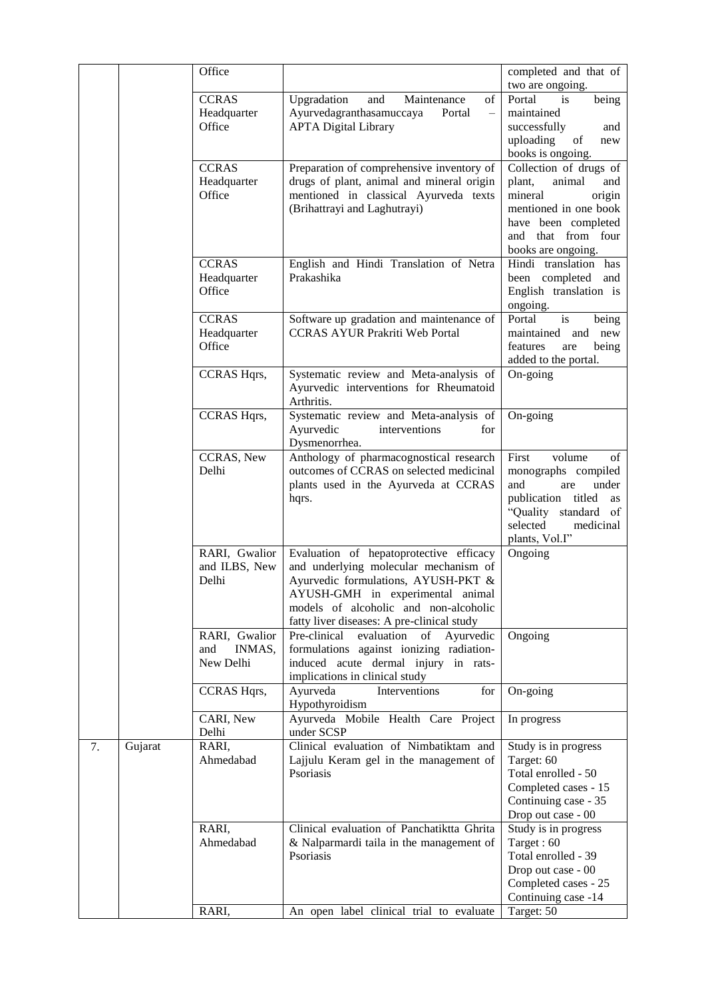|    |         | Office                |                                                                                             | completed and that of                            |
|----|---------|-----------------------|---------------------------------------------------------------------------------------------|--------------------------------------------------|
|    |         |                       |                                                                                             | two are ongoing.                                 |
|    |         | <b>CCRAS</b>          | Upgradation<br>and<br>Maintenance<br>of                                                     | Portal<br>being<br>is                            |
|    |         | Headquarter           | Ayurvedagranthasamuccaya<br>Portal<br>$\overline{\phantom{0}}$                              | maintained                                       |
|    |         | Office                | <b>APTA Digital Library</b>                                                                 | successfully<br>and                              |
|    |         |                       |                                                                                             | uploading<br>of<br>new                           |
|    |         |                       |                                                                                             | books is ongoing.                                |
|    |         | <b>CCRAS</b>          | Preparation of comprehensive inventory of                                                   | Collection of drugs of<br>plant,                 |
|    |         | Headquarter<br>Office | drugs of plant, animal and mineral origin<br>mentioned in classical Ayurveda texts          | animal<br>and<br>mineral<br>origin               |
|    |         |                       | (Brihattrayi and Laghutrayi)                                                                | mentioned in one book                            |
|    |         |                       |                                                                                             | have been completed                              |
|    |         |                       |                                                                                             | that from four<br>and                            |
|    |         |                       |                                                                                             | books are ongoing.                               |
|    |         | <b>CCRAS</b>          | English and Hindi Translation of Netra                                                      | Hindi translation has                            |
|    |         | Headquarter           | Prakashika                                                                                  | been completed and                               |
|    |         | Office                |                                                                                             | English translation is                           |
|    |         |                       |                                                                                             | ongoing.                                         |
|    |         | <b>CCRAS</b>          | Software up gradation and maintenance of                                                    | Portal<br>is<br>being                            |
|    |         | Headquarter           | <b>CCRAS AYUR Prakriti Web Portal</b>                                                       | maintained and<br>new                            |
|    |         | Office                |                                                                                             | features<br>being<br>are<br>added to the portal. |
|    |         | CCRAS Hqrs,           | Systematic review and Meta-analysis of                                                      | On-going                                         |
|    |         |                       | Ayurvedic interventions for Rheumatoid                                                      |                                                  |
|    |         |                       | Arthritis.                                                                                  |                                                  |
|    |         | CCRAS Hqrs,           | Systematic review and Meta-analysis of                                                      | On-going                                         |
|    |         |                       | Ayurvedic<br>interventions<br>for                                                           |                                                  |
|    |         |                       | Dysmenorrhea.                                                                               |                                                  |
|    |         | CCRAS, New            | Anthology of pharmacognostical research                                                     | First<br>volume<br>of                            |
|    |         | Delhi                 | outcomes of CCRAS on selected medicinal                                                     | monographs compiled<br>and<br>under              |
|    |         |                       | plants used in the Ayurveda at CCRAS<br>hqrs.                                               | are<br>publication titled<br>as                  |
|    |         |                       |                                                                                             | "Quality standard of                             |
|    |         |                       |                                                                                             | selected<br>medicinal                            |
|    |         |                       |                                                                                             | plants, Vol.I"                                   |
|    |         | RARI, Gwalior         | Evaluation of hepatoprotective efficacy                                                     | Ongoing                                          |
|    |         | and ILBS, New         | and underlying molecular mechanism of                                                       |                                                  |
|    |         | Delhi                 | Ayurvedic formulations, AYUSH-PKT &                                                         |                                                  |
|    |         |                       | AYUSH-GMH in experimental animal                                                            |                                                  |
|    |         |                       | models of alcoholic and non-alcoholic                                                       |                                                  |
|    |         | RARI, Gwalior         | fatty liver diseases: A pre-clinical study<br>Pre-clinical<br>evaluation<br>of<br>Ayurvedic | Ongoing                                          |
|    |         | INMAS,<br>and         | formulations against ionizing radiation-                                                    |                                                  |
|    |         | New Delhi             | induced acute dermal injury in rats-                                                        |                                                  |
|    |         |                       | implications in clinical study                                                              |                                                  |
|    |         | <b>CCRAS Hqrs,</b>    | Ayurveda<br>for<br>Interventions                                                            | On-going                                         |
|    |         |                       | Hypothyroidism                                                                              |                                                  |
|    |         | CARI, New             | Ayurveda Mobile Health Care Project                                                         | In progress                                      |
|    |         | Delhi                 | under SCSP                                                                                  |                                                  |
| 7. | Gujarat | RARI,<br>Ahmedabad    | Clinical evaluation of Nimbatiktam and                                                      | Study is in progress                             |
|    |         |                       | Lajjulu Keram gel in the management of<br>Psoriasis                                         | Target: 60<br>Total enrolled - 50                |
|    |         |                       |                                                                                             | Completed cases - 15                             |
|    |         |                       |                                                                                             | Continuing case - 35                             |
|    |         |                       |                                                                                             | Drop out case - 00                               |
|    |         | RARI,                 | Clinical evaluation of Panchatiktta Ghrita                                                  | Study is in progress                             |
|    |         | Ahmedabad             | & Nalparmardi taila in the management of                                                    | Target: 60                                       |
|    |         |                       | Psoriasis                                                                                   | Total enrolled - 39                              |
|    |         |                       |                                                                                             | Drop out case - 00                               |
|    |         |                       |                                                                                             | Completed cases - 25                             |
|    |         | RARI,                 |                                                                                             | Continuing case -14                              |
|    |         |                       | An open label clinical trial to evaluate                                                    | Target: 50                                       |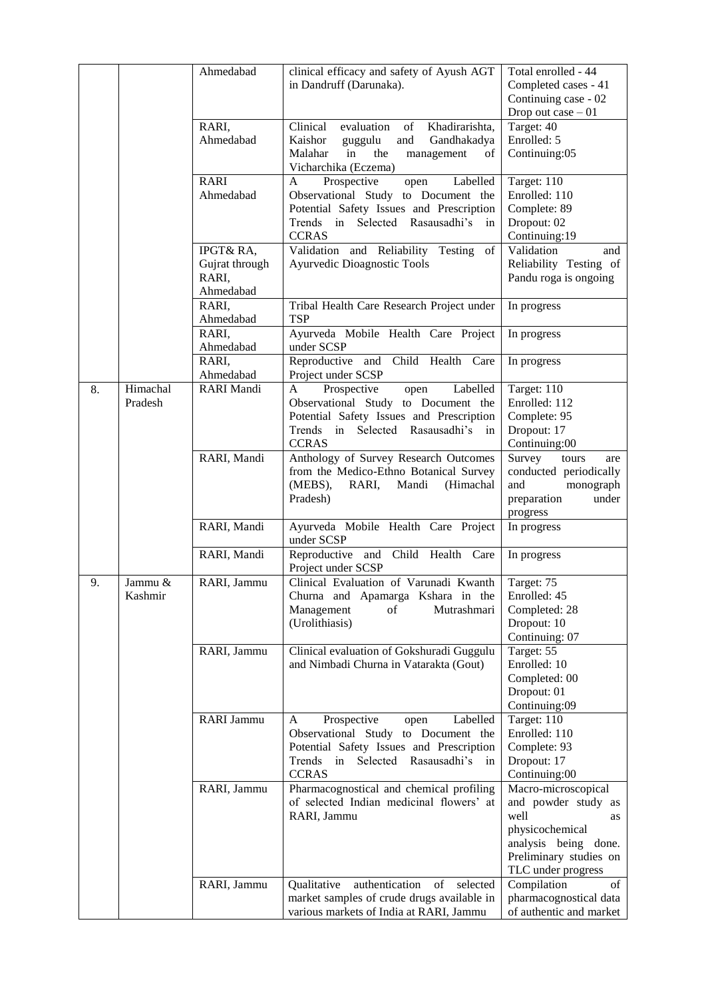|    |          | Ahmedabad         | clinical efficacy and safety of Ayush AGT                | Total enrolled - 44     |
|----|----------|-------------------|----------------------------------------------------------|-------------------------|
|    |          |                   | in Dandruff (Darunaka).                                  | Completed cases - 41    |
|    |          |                   |                                                          | Continuing case - 02    |
|    |          |                   |                                                          | Drop out case $-01$     |
|    |          | RARI,             | Clinical<br>evaluation<br>Khadirarishta,<br>of           | Target: 40              |
|    |          | Ahmedabad         | Kaishor<br>and<br>Gandhakadya<br>guggulu                 | Enrolled: 5             |
|    |          |                   | Malahar<br>in<br>the<br>management<br>of                 | Continuing:05           |
|    |          |                   | Vicharchika (Eczema)                                     |                         |
|    |          | <b>RARI</b>       | A<br>Prospective<br>Labelled<br>open                     | Target: 110             |
|    |          | Ahmedabad         | Observational Study to Document the                      | Enrolled: 110           |
|    |          |                   | Potential Safety Issues and Prescription                 | Complete: 89            |
|    |          |                   | Trends in Selected Rasausadhi's in                       | Dropout: 02             |
|    |          |                   | <b>CCRAS</b>                                             | Continuing:19           |
|    |          | IPGT& RA,         | Validation and Reliability Testing of                    | Validation<br>and       |
|    |          | Gujrat through    | Ayurvedic Dioagnostic Tools                              | Reliability Testing of  |
|    |          | RARI,             |                                                          | Pandu roga is ongoing   |
|    |          | Ahmedabad         |                                                          |                         |
|    |          | RARI,             | Tribal Health Care Research Project under                | In progress             |
|    |          | Ahmedabad         | <b>TSP</b>                                               |                         |
|    |          | RARI,             | Ayurveda Mobile Health Care Project                      | In progress             |
|    |          | Ahmedabad         | under SCSP                                               |                         |
|    |          | RARI,             | Reproductive and Child Health Care                       | In progress             |
|    |          | Ahmedabad         | Project under SCSP                                       |                         |
| 8. | Himachal | <b>RARI</b> Mandi | Labelled<br>Prospective<br>open<br>A                     | Target: 110             |
|    | Pradesh  |                   | Observational Study to Document the                      | Enrolled: 112           |
|    |          |                   | Potential Safety Issues and Prescription                 | Complete: 95            |
|    |          |                   | Trends in Selected Rasausadhi's in                       | Dropout: 17             |
|    |          |                   | <b>CCRAS</b>                                             | Continuing:00           |
|    |          | RARI, Mandi       | Anthology of Survey Research Outcomes                    | Survey<br>tours<br>are  |
|    |          |                   | from the Medico-Ethno Botanical Survey                   | conducted periodically  |
|    |          |                   | (MEBS),<br>RARI,<br>Mandi<br>(Himachal                   | and<br>monograph        |
|    |          |                   | Pradesh)                                                 | preparation<br>under    |
|    |          |                   |                                                          | progress                |
|    |          | RARI, Mandi       | Ayurveda Mobile Health Care Project                      | In progress             |
|    |          |                   | under SCSP                                               |                         |
|    |          | RARI, Mandi       | Reproductive and Child Health Care<br>Project under SCSP | In progress             |
| 9. | Jammu &  | RARI, Jammu       | Clinical Evaluation of Varunadi Kwanth                   | Target: 75              |
|    | Kashmir  |                   | Churna and Apamarga Kshara in the                        | Enrolled: 45            |
|    |          |                   | Management<br>Mutrashmari<br>οf                          | Completed: 28           |
|    |          |                   | (Urolithiasis)                                           | Dropout: 10             |
|    |          |                   |                                                          | Continuing: 07          |
|    |          | RARI, Jammu       | Clinical evaluation of Gokshuradi Guggulu                | Target: 55              |
|    |          |                   | and Nimbadi Churna in Vatarakta (Gout)                   | Enrolled: 10            |
|    |          |                   |                                                          | Completed: 00           |
|    |          |                   |                                                          | Dropout: 01             |
|    |          |                   |                                                          | Continuing:09           |
|    |          | RARI Jammu        | Prospective<br>Labelled<br>A<br>open                     | Target: 110             |
|    |          |                   | Observational Study to Document the                      | Enrolled: 110           |
|    |          |                   | Potential Safety Issues and Prescription                 | Complete: 93            |
|    |          |                   | Selected<br>Rasausadhi's<br>Trends<br>in<br>in           | Dropout: 17             |
|    |          |                   | <b>CCRAS</b>                                             | Continuing:00           |
|    |          | RARI, Jammu       | Pharmacognostical and chemical profiling                 | Macro-microscopical     |
|    |          |                   | of selected Indian medicinal flowers' at                 | and powder study as     |
|    |          |                   | RARI, Jammu                                              | well<br>as              |
|    |          |                   |                                                          | physicochemical         |
|    |          |                   |                                                          | analysis being done.    |
|    |          |                   |                                                          | Preliminary studies on  |
|    |          |                   |                                                          | TLC under progress      |
|    |          | RARI, Jammu       | authentication<br>Qualitative<br>of<br>selected          | Compilation<br>οf       |
|    |          |                   | market samples of crude drugs available in               | pharmacognostical data  |
|    |          |                   | various markets of India at RARI, Jammu                  | of authentic and market |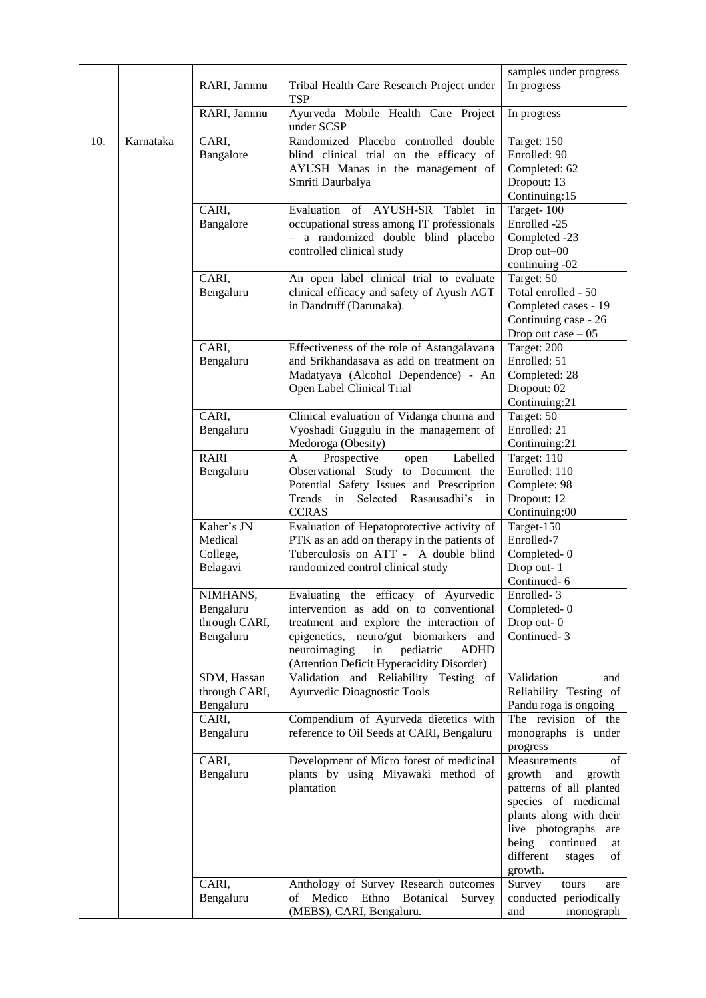|     |           |                              |                                                                             | samples under progress        |
|-----|-----------|------------------------------|-----------------------------------------------------------------------------|-------------------------------|
|     |           | RARI, Jammu                  | Tribal Health Care Research Project under<br><b>TSP</b>                     | In progress                   |
|     |           | RARI, Jammu                  | Ayurveda Mobile Health Care Project<br>under SCSP                           | In progress                   |
| 10. | Karnataka | CARI,                        | Randomized Placebo controlled double                                        | Target: 150                   |
|     |           | Bangalore                    | blind clinical trial on the efficacy of                                     | Enrolled: 90                  |
|     |           |                              | AYUSH Manas in the management of                                            | Completed: 62                 |
|     |           |                              | Smriti Daurbalya                                                            | Dropout: 13                   |
|     |           |                              |                                                                             | Continuing:15                 |
|     |           | CARI,                        | Evaluation of AYUSH-SR<br>Tablet in                                         | Target-100                    |
|     |           | Bangalore                    | occupational stress among IT professionals                                  | Enrolled -25                  |
|     |           |                              | - a randomized double blind placebo                                         | Completed -23                 |
|     |           |                              | controlled clinical study                                                   | Drop out-00                   |
|     |           |                              |                                                                             | continuing -02                |
|     |           | CARI,                        | An open label clinical trial to evaluate                                    | Target: 50                    |
|     |           | Bengaluru                    | clinical efficacy and safety of Ayush AGT                                   | Total enrolled - 50           |
|     |           |                              | in Dandruff (Darunaka).                                                     | Completed cases - 19          |
|     |           |                              |                                                                             | Continuing case - 26          |
|     |           |                              |                                                                             | Drop out case $-05$           |
|     |           | CARI,                        | Effectiveness of the role of Astangalavana                                  | Target: 200                   |
|     |           | Bengaluru                    | and Srikhandasava as add on treatment on                                    | Enrolled: 51                  |
|     |           |                              | Madatyaya (Alcohol Dependence) - An                                         | Completed: 28                 |
|     |           |                              | Open Label Clinical Trial                                                   | Dropout: 02                   |
|     |           |                              |                                                                             | Continuing:21                 |
|     |           | CARI,                        | Clinical evaluation of Vidanga churna and                                   | Target: 50<br>Enrolled: 21    |
|     |           | Bengaluru                    | Vyoshadi Guggulu in the management of<br>Medoroga (Obesity)                 | Continuing:21                 |
|     |           | RARI                         | Prospective<br>Labelled<br>A<br>open                                        | Target: 110                   |
|     |           | Bengaluru                    | Observational Study to Document the                                         | Enrolled: 110                 |
|     |           |                              | Potential Safety Issues and Prescription                                    | Complete: 98                  |
|     |           |                              | Trends in<br>Selected Rasausadhi's<br>in                                    | Dropout: 12                   |
|     |           |                              | <b>CCRAS</b>                                                                | Continuing:00                 |
|     |           | Kaher's JN                   | Evaluation of Hepatoprotective activity of                                  | Target-150                    |
|     |           | Medical                      | PTK as an add on therapy in the patients of                                 | Enrolled-7                    |
|     |           | College,                     | Tuberculosis on ATT - A double blind                                        | Completed-0                   |
|     |           | Belagavi                     | randomized control clinical study                                           | Drop out-1                    |
|     |           |                              |                                                                             | Continued-6                   |
|     |           | NIMHANS,                     | Evaluating the efficacy of Ayurvedic                                        | Enrolled-3                    |
|     |           | Bengaluru                    | intervention as add on to conventional                                      | Completed-0                   |
|     |           | through CARI,                | treatment and explore the interaction of                                    | Drop out-0                    |
|     |           | Bengaluru                    | epigenetics, neuro/gut biomarkers and                                       | Continued-3                   |
|     |           |                              | neuroimaging<br>in<br>pediatric<br>ADHD                                     |                               |
|     |           |                              | (Attention Deficit Hyperacidity Disorder)                                   | Validation                    |
|     |           | SDM, Hassan<br>through CARI, | Validation and Reliability Testing of<br><b>Ayurvedic Dioagnostic Tools</b> | and<br>Reliability Testing of |
|     |           | Bengaluru                    |                                                                             | Pandu roga is ongoing         |
|     |           | CARI,                        | Compendium of Ayurveda dietetics with                                       | The revision of the           |
|     |           | Bengaluru                    | reference to Oil Seeds at CARI, Bengaluru                                   | monographs is under           |
|     |           |                              |                                                                             | progress                      |
|     |           | CARI,                        | Development of Micro forest of medicinal                                    | Measurements<br>of            |
|     |           | Bengaluru                    | plants by using Miyawaki method of                                          | and<br>growth<br>growth       |
|     |           |                              | plantation                                                                  | patterns of all planted       |
|     |           |                              |                                                                             | species of medicinal          |
|     |           |                              |                                                                             | plants along with their       |
|     |           |                              |                                                                             | live photographs<br>are       |
|     |           |                              |                                                                             | being<br>continued<br>at      |
|     |           |                              |                                                                             | different<br>stages<br>of     |
|     |           |                              |                                                                             | growth.                       |
|     |           | CARI,                        | Anthology of Survey Research outcomes                                       | Survey<br>tours<br>are        |
|     |           | Bengaluru                    | Medico<br>Ethno<br>Botanical<br>οf<br>Survey                                | conducted periodically        |
|     |           |                              | (MEBS), CARI, Bengaluru.                                                    | and<br>monograph              |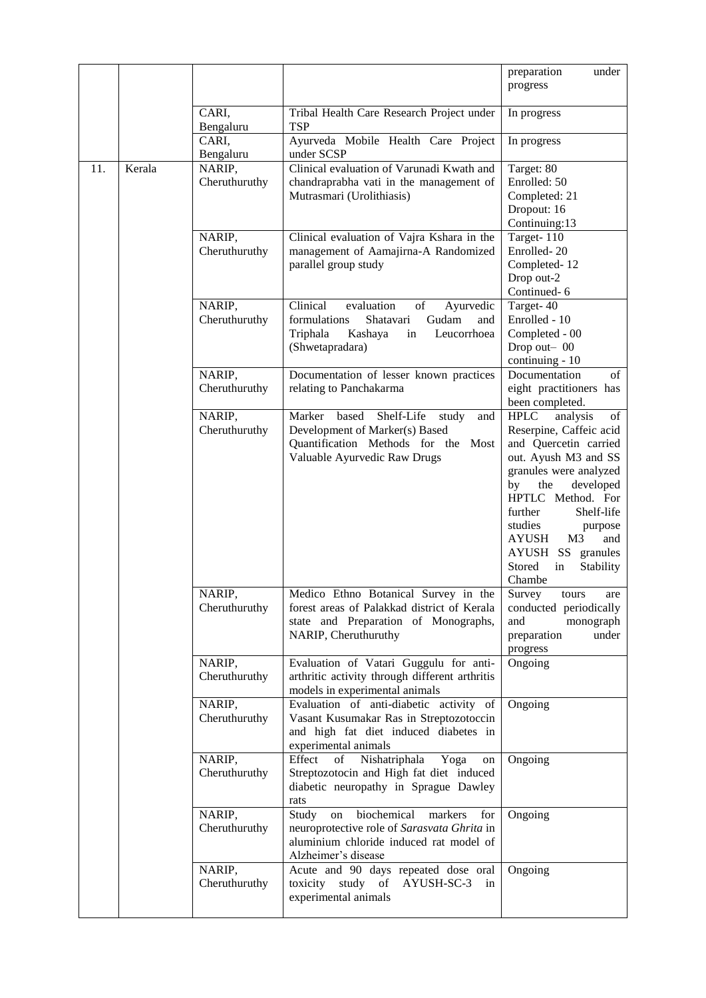|     |        |                               |                                                                                                                                                            | preparation<br>under<br>progress                                                                                                                                                                                                                                                                                                |
|-----|--------|-------------------------------|------------------------------------------------------------------------------------------------------------------------------------------------------------|---------------------------------------------------------------------------------------------------------------------------------------------------------------------------------------------------------------------------------------------------------------------------------------------------------------------------------|
|     |        | CARI,<br>Bengaluru            | Tribal Health Care Research Project under<br><b>TSP</b>                                                                                                    | In progress                                                                                                                                                                                                                                                                                                                     |
|     |        | CARI,<br>Bengaluru            | Ayurveda Mobile Health Care Project<br>under SCSP                                                                                                          | In progress                                                                                                                                                                                                                                                                                                                     |
| 11. | Kerala | NARIP,<br>Cheruthuruthy       | Clinical evaluation of Varunadi Kwath and<br>chandraprabha vati in the management of<br>Mutrasmari (Urolithiasis)                                          | Target: 80<br>Enrolled: 50<br>Completed: 21<br>Dropout: 16<br>Continuing:13                                                                                                                                                                                                                                                     |
|     |        | NARIP,<br>Cheruthuruthy       | Clinical evaluation of Vajra Kshara in the<br>management of Aamajirna-A Randomized<br>parallel group study                                                 | Target-110<br>Enrolled-20<br>Completed-12<br>Drop out-2<br>Continued-6                                                                                                                                                                                                                                                          |
|     |        | NARIP,<br>Cheruthuruthy       | Clinical<br>evaluation<br>of<br>Ayurvedic<br>Shatavari<br>formulations<br>Gudam<br>and<br>Triphala<br>Kashaya<br>Leucorrhoea<br>in<br>(Shwetapradara)      | Target-40<br>Enrolled - 10<br>Completed - 00<br>Drop out-00<br>continuing - 10                                                                                                                                                                                                                                                  |
|     |        | NARIP,<br>Cheruthuruthy       | Documentation of lesser known practices<br>relating to Panchakarma                                                                                         | Documentation<br>of<br>eight practitioners has<br>been completed.                                                                                                                                                                                                                                                               |
|     |        | NARIP,<br>Cheruthuruthy       | Shelf-Life<br>based<br>Marker<br>study<br>and<br>Development of Marker(s) Based<br>Quantification Methods for the Most<br>Valuable Ayurvedic Raw Drugs     | <b>HPLC</b><br>analysis<br>of<br>Reserpine, Caffeic acid<br>and Quercetin carried<br>out. Ayush M3 and SS<br>granules were analyzed<br>by<br>the<br>developed<br>HPTLC Method. For<br>further<br>Shelf-life<br>studies<br>purpose<br>AYUSH<br>M <sub>3</sub><br>and<br>AYUSH SS granules<br>Stored<br>in<br>Stability<br>Chambe |
|     |        | <b>NARIP</b><br>Cheruthuruthy | Medico Ethno Botanical Survey in the<br>forest areas of Palakkad district of Kerala<br>state and Preparation of Monographs,<br>NARIP, Cheruthuruthy        | Survey<br>tours<br>are<br>conducted periodically<br>and<br>monograph<br>under<br>preparation<br>progress                                                                                                                                                                                                                        |
|     |        | NARIP,<br>Cheruthuruthy       | Evaluation of Vatari Guggulu for anti-<br>arthritic activity through different arthritis<br>models in experimental animals                                 | Ongoing                                                                                                                                                                                                                                                                                                                         |
|     |        | NARIP,<br>Cheruthuruthy       | Evaluation of anti-diabetic activity of<br>Vasant Kusumakar Ras in Streptozotoccin<br>and high fat diet induced diabetes in<br>experimental animals        | Ongoing                                                                                                                                                                                                                                                                                                                         |
|     |        | NARIP,<br>Cheruthuruthy       | Nishatriphala Yoga<br>Effect<br>of<br>on<br>Streptozotocin and High fat diet induced<br>diabetic neuropathy in Sprague Dawley<br>rats                      | Ongoing                                                                                                                                                                                                                                                                                                                         |
|     |        | NARIP,<br>Cheruthuruthy       | biochemical markers<br>Study<br>for<br>on<br>neuroprotective role of Sarasvata Ghrita in<br>aluminium chloride induced rat model of<br>Alzheimer's disease | Ongoing                                                                                                                                                                                                                                                                                                                         |
|     |        | NARIP,<br>Cheruthuruthy       | Acute and 90 days repeated dose oral<br>toxicity study of AYUSH-SC-3<br>in<br>experimental animals                                                         | Ongoing                                                                                                                                                                                                                                                                                                                         |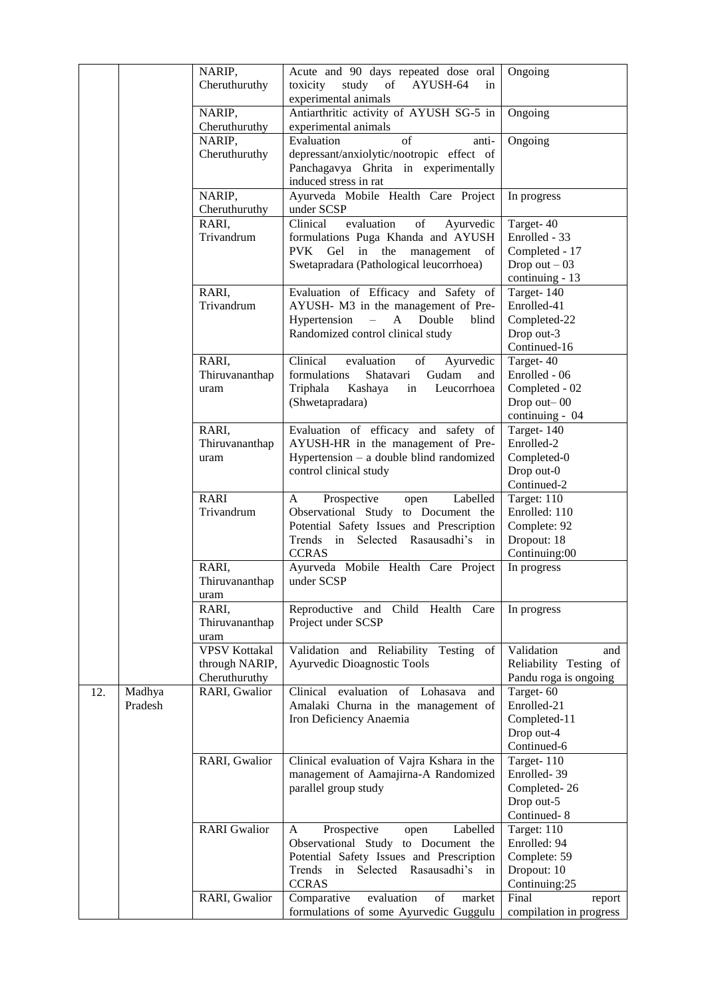|     |         | NARIP,<br>Cheruthuruthy | Acute and 90 days repeated dose oral<br>study of<br>AYUSH-64<br>toxicity<br>in | Ongoing                      |
|-----|---------|-------------------------|--------------------------------------------------------------------------------|------------------------------|
|     |         |                         | experimental animals                                                           |                              |
|     |         | NARIP,<br>Cheruthuruthy | Antiarthritic activity of AYUSH SG-5 in<br>experimental animals                | Ongoing                      |
|     |         | NARIP,                  | Evaluation<br>of<br>anti-                                                      | Ongoing                      |
|     |         | Cheruthuruthy           | depressant/anxiolytic/nootropic effect of                                      |                              |
|     |         |                         | Panchagavya Ghrita in experimentally                                           |                              |
|     |         |                         | induced stress in rat                                                          |                              |
|     |         | NARIP,                  | Ayurveda Mobile Health Care Project                                            | In progress                  |
|     |         | Cheruthuruthy           | under SCSP                                                                     |                              |
|     |         | RARI,                   | evaluation<br>Clinical<br>of<br>Ayurvedic                                      | Target-40                    |
|     |         | Trivandrum              | formulations Puga Khanda and AYUSH                                             | Enrolled - 33                |
|     |         |                         | Gel in the management of<br><b>PVK</b>                                         | Completed - 17               |
|     |         |                         | Swetapradara (Pathological leucorrhoea)                                        | Drop out $-03$               |
|     |         |                         |                                                                                | continuing - 13              |
|     |         | RARI,                   | Evaluation of Efficacy and Safety of                                           | Target-140                   |
|     |         | Trivandrum              | AYUSH- M3 in the management of Pre-                                            | Enrolled-41                  |
|     |         |                         | Hypertension<br>$\mathbf{A}$<br>Double<br>blind<br>$\overline{\phantom{0}}$    | Completed-22                 |
|     |         |                         | Randomized control clinical study                                              | Drop out-3                   |
|     |         |                         |                                                                                | Continued-16                 |
|     |         | RARI,                   | Clinical<br>of<br>evaluation<br>Ayurvedic                                      | Target-40                    |
|     |         | Thiruvananthap          | formulations<br>Shatavari<br>Gudam<br>and                                      | Enrolled - 06                |
|     |         | uram                    | Triphala<br>Leucorrhoea<br>Kashaya<br>in                                       | Completed - 02               |
|     |         |                         | (Shwetapradara)                                                                | Drop out-00                  |
|     |         |                         |                                                                                | continuing - 04              |
|     |         | RARI,                   | Evaluation of efficacy and safety of                                           | Target-140                   |
|     |         | Thiruvananthap          | AYUSH-HR in the management of Pre-                                             | Enrolled-2                   |
|     |         | uram                    | Hypertension - a double blind randomized                                       | Completed-0                  |
|     |         |                         | control clinical study                                                         | Drop out-0                   |
|     |         |                         |                                                                                | Continued-2                  |
|     |         | <b>RARI</b>             | Prospective<br>Labelled<br>A<br>open                                           | Target: 110                  |
|     |         | Trivandrum              | Observational Study to Document the                                            | Enrolled: 110                |
|     |         |                         | Potential Safety Issues and Prescription<br>Selected Rasausadhi's              | Complete: 92                 |
|     |         |                         | Trends<br>in<br>in<br><b>CCRAS</b>                                             | Dropout: 18<br>Continuing:00 |
|     |         | RARI,                   | Ayurveda Mobile Health Care Project                                            | In progress                  |
|     |         | Thiruvananthap          | under SCSP                                                                     |                              |
|     |         | uram                    |                                                                                |                              |
|     |         | RARI,                   | Reproductive<br>and Child Health Care                                          | In progress                  |
|     |         | Thiruvananthap          | Project under SCSP                                                             |                              |
|     |         | uram                    |                                                                                |                              |
|     |         | <b>VPSV Kottakal</b>    | Validation and Reliability Testing<br>of                                       | Validation<br>and            |
|     |         | through NARIP,          | Ayurvedic Dioagnostic Tools                                                    | Reliability Testing of       |
|     |         | Cheruthuruthy           |                                                                                | Pandu roga is ongoing        |
| 12. | Madhya  | RARI, Gwalior           | evaluation<br>of Lohasava<br>Clinical<br>and                                   | Target-60                    |
|     | Pradesh |                         | Amalaki Churna in the management of                                            | Enrolled-21                  |
|     |         |                         | Iron Deficiency Anaemia                                                        | Completed-11                 |
|     |         |                         |                                                                                | Drop out-4                   |
|     |         |                         |                                                                                | Continued-6                  |
|     |         | RARI, Gwalior           | Clinical evaluation of Vajra Kshara in the                                     | Target-110                   |
|     |         |                         | management of Aamajirna-A Randomized                                           | Enrolled-39                  |
|     |         |                         | parallel group study                                                           | Completed-26                 |
|     |         |                         |                                                                                | Drop out-5<br>Continued-8    |
|     |         | <b>RARI</b> Gwalior     | Prospective<br>Labelled<br>A<br>open                                           | Target: 110                  |
|     |         |                         | Observational Study to Document the                                            | Enrolled: 94                 |
|     |         |                         |                                                                                |                              |
|     |         |                         |                                                                                |                              |
|     |         |                         | Potential Safety Issues and Prescription<br>Rasausadhi's<br>in                 | Complete: 59                 |
|     |         |                         | Selected<br>Trends<br>in<br><b>CCRAS</b>                                       | Dropout: 10<br>Continuing:25 |
|     |         | RARI, Gwalior           | evaluation<br>of<br>Comparative<br>market                                      | Final<br>report              |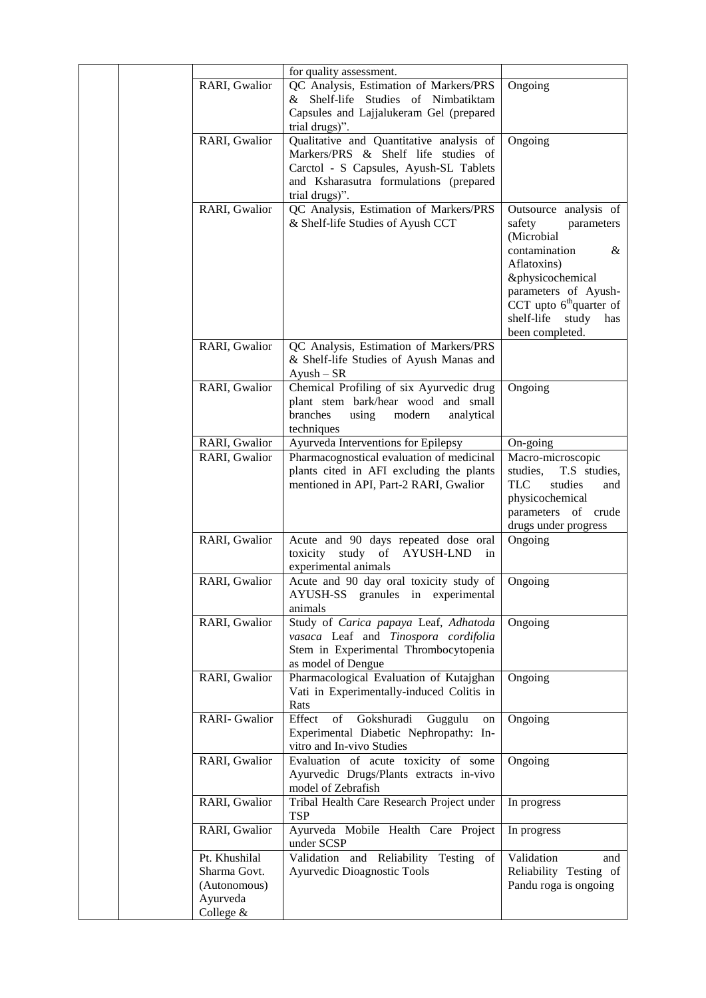|  |                                                                        | for quality assessment.                                                                                                                                                                                 |                                                                                                                                                                                                                                      |
|--|------------------------------------------------------------------------|---------------------------------------------------------------------------------------------------------------------------------------------------------------------------------------------------------|--------------------------------------------------------------------------------------------------------------------------------------------------------------------------------------------------------------------------------------|
|  | RARI, Gwalior                                                          | QC Analysis, Estimation of Markers/PRS<br>& Shelf-life Studies of Nimbatiktam<br>Capsules and Lajjalukeram Gel (prepared                                                                                | Ongoing                                                                                                                                                                                                                              |
|  | RARI, Gwalior                                                          | trial drugs)".<br>Qualitative and Quantitative analysis of<br>Markers/PRS & Shelf life studies of<br>Carctol - S Capsules, Ayush-SL Tablets<br>and Ksharasutra formulations (prepared<br>trial drugs)". | Ongoing                                                                                                                                                                                                                              |
|  | RARI, Gwalior                                                          | QC Analysis, Estimation of Markers/PRS<br>& Shelf-life Studies of Ayush CCT                                                                                                                             | Outsource analysis of<br>safety<br>parameters<br>(Microbial<br>contamination<br>&<br>Aflatoxins)<br>&physicochemical<br>parameters of Ayush-<br>CCT upto 6 <sup>th</sup> quarter of<br>shelf-life<br>study<br>has<br>been completed. |
|  | RARI, Gwalior                                                          | QC Analysis, Estimation of Markers/PRS<br>& Shelf-life Studies of Ayush Manas and<br>$Ayush - SR$                                                                                                       |                                                                                                                                                                                                                                      |
|  | RARI, Gwalior                                                          | Chemical Profiling of six Ayurvedic drug<br>plant stem bark/hear wood and small<br>branches<br>using<br>modern<br>analytical<br>techniques                                                              | Ongoing                                                                                                                                                                                                                              |
|  | RARI, Gwalior                                                          | Ayurveda Interventions for Epilepsy                                                                                                                                                                     | On-going                                                                                                                                                                                                                             |
|  | RARI, Gwalior                                                          | Pharmacognostical evaluation of medicinal<br>plants cited in AFI excluding the plants<br>mentioned in API, Part-2 RARI, Gwalior                                                                         | Macro-microscopic<br>studies,<br>T.S studies,<br>TLC<br>studies<br>and<br>physicochemical<br>parameters of crude<br>drugs under progress                                                                                             |
|  | RARI, Gwalior                                                          | Acute and 90 days repeated dose oral<br>toxicity study of<br><b>AYUSH-LND</b><br>in<br>experimental animals                                                                                             | Ongoing                                                                                                                                                                                                                              |
|  | RARI, Gwalior                                                          | Acute and 90 day oral toxicity study of<br>AYUSH-SS granules in experimental<br>animals                                                                                                                 | Ongoing                                                                                                                                                                                                                              |
|  | RARI, Gwalior                                                          | Study of Carica papaya Leaf, Adhatoda<br>vasaca Leaf and Tinospora cordifolia<br>Stem in Experimental Thrombocytopenia<br>as model of Dengue                                                            | Ongoing                                                                                                                                                                                                                              |
|  | RARI, Gwalior                                                          | Pharmacological Evaluation of Kutajghan<br>Vati in Experimentally-induced Colitis in<br>Rats                                                                                                            | Ongoing                                                                                                                                                                                                                              |
|  | <b>RARI-Gwalior</b>                                                    | Effect<br>of Gokshuradi Guggulu<br>on<br>Experimental Diabetic Nephropathy: In-<br>vitro and In-vivo Studies                                                                                            | Ongoing                                                                                                                                                                                                                              |
|  | RARI, Gwalior                                                          | Evaluation of acute toxicity of some<br>Ayurvedic Drugs/Plants extracts in-vivo<br>model of Zebrafish                                                                                                   | Ongoing                                                                                                                                                                                                                              |
|  | RARI, Gwalior                                                          | Tribal Health Care Research Project under<br><b>TSP</b>                                                                                                                                                 | In progress                                                                                                                                                                                                                          |
|  | RARI, Gwalior                                                          | Ayurveda Mobile Health Care Project<br>under SCSP                                                                                                                                                       | In progress                                                                                                                                                                                                                          |
|  | Pt. Khushilal<br>Sharma Govt.<br>(Autonomous)<br>Ayurveda<br>College & | Validation and Reliability Testing of<br>Ayurvedic Dioagnostic Tools                                                                                                                                    | Validation<br>and<br>Reliability Testing of<br>Pandu roga is ongoing                                                                                                                                                                 |
|  |                                                                        |                                                                                                                                                                                                         |                                                                                                                                                                                                                                      |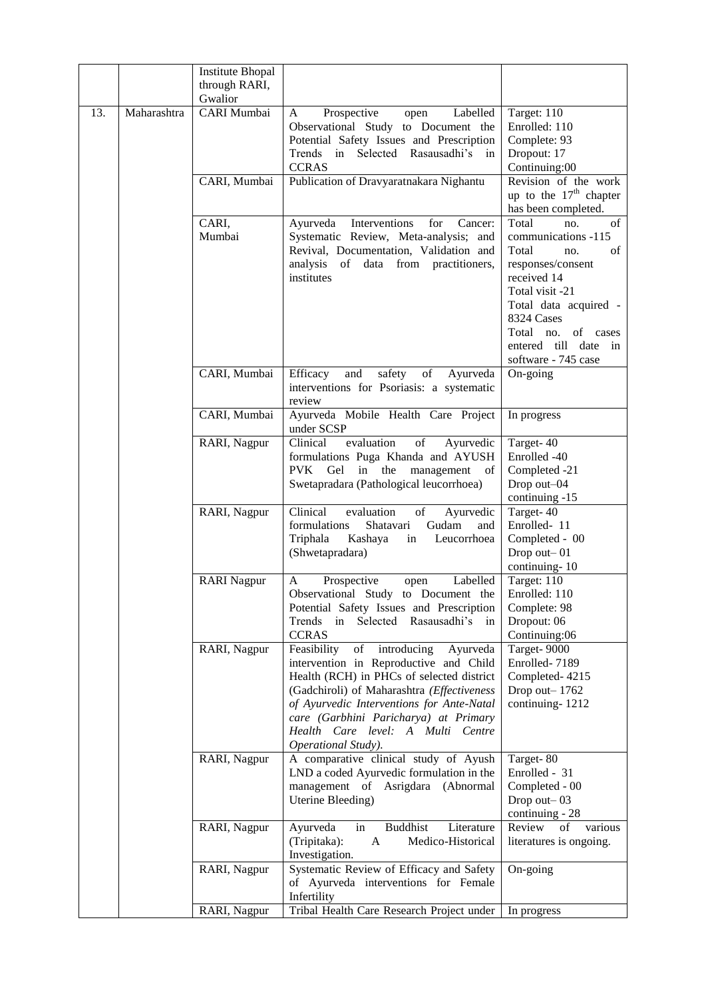|     |             | <b>Institute Bhopal</b><br>through RARI,<br>Gwalior |                                                                                                                                                                                                                                                                                                                                     |                                                                                                                                                                                                                                    |
|-----|-------------|-----------------------------------------------------|-------------------------------------------------------------------------------------------------------------------------------------------------------------------------------------------------------------------------------------------------------------------------------------------------------------------------------------|------------------------------------------------------------------------------------------------------------------------------------------------------------------------------------------------------------------------------------|
| 13. | Maharashtra | CARI Mumbai<br>CARI, Mumbai                         | Prospective<br>Labelled<br>A<br>open<br>Observational Study to Document the<br>Potential Safety Issues and Prescription<br>Trends in Selected Rasausadhi's in<br><b>CCRAS</b><br>Publication of Dravyaratnakara Nighantu                                                                                                            | Target: 110<br>Enrolled: 110<br>Complete: 93<br>Dropout: 17<br>Continuing:00<br>Revision of the work<br>up to the $17th$ chapter<br>has been completed.                                                                            |
|     |             | CARI,<br>Mumbai                                     | Interventions<br>Ayurveda<br>for<br>Cancer:<br>Systematic Review, Meta-analysis; and<br>Revival, Documentation, Validation and<br>analysis of data from practitioners,<br>institutes                                                                                                                                                | Total<br>of<br>no.<br>communications -115<br>Total<br>of<br>no.<br>responses/consent<br>received 14<br>Total visit -21<br>Total data acquired -<br>8324 Cases<br>Total no. of cases<br>entered till date in<br>software - 745 case |
|     |             | CARI, Mumbai                                        | of<br>Efficacy<br>and<br>safety<br>Ayurveda<br>interventions for Psoriasis: a systematic<br>review                                                                                                                                                                                                                                  | On-going                                                                                                                                                                                                                           |
|     |             | CARI, Mumbai                                        | Ayurveda Mobile Health Care Project<br>under SCSP                                                                                                                                                                                                                                                                                   | In progress                                                                                                                                                                                                                        |
|     |             | RARI, Nagpur                                        | Clinical<br>evaluation<br>of<br>Ayurvedic<br>formulations Puga Khanda and AYUSH<br>PVK Gel in the<br>management of<br>Swetapradara (Pathological leucorrhoea)                                                                                                                                                                       | Target-40<br>Enrolled -40<br>Completed -21<br>Drop out-04<br>continuing -15                                                                                                                                                        |
|     |             | RARI, Nagpur                                        | Clinical<br>evaluation<br>of<br>Ayurvedic<br>formulations<br>Shatavari<br>Gudam<br>and<br>Triphala<br>Kashaya<br>Leucorrhoea<br>in<br>(Shwetapradara)                                                                                                                                                                               | Target-40<br>Enrolled-11<br>Completed - 00<br>Drop out-01<br>continuing-10                                                                                                                                                         |
|     |             | <b>RARI</b> Nagpur                                  | Labelled<br>A<br>Prospective<br>open<br>Observational Study to Document the Enrolled: 110<br>Potential Safety Issues and Prescription<br>Selected Rasausadhi's<br>Trends<br>in<br>in<br><b>CCRAS</b>                                                                                                                                | Target: 110<br>Complete: 98<br>Dropout: 06<br>Continuing:06                                                                                                                                                                        |
|     |             | RARI, Nagpur                                        | Feasibility<br>of<br>introducing<br>Ayurveda<br>intervention in Reproductive and Child<br>Health (RCH) in PHCs of selected district<br>(Gadchiroli) of Maharashtra (Effectiveness<br>of Ayurvedic Interventions for Ante-Natal<br>care (Garbhini Paricharya) at Primary<br>Health Care level: A Multi Centre<br>Operational Study). | Target-9000<br>Enrolled-7189<br>Completed-4215<br>Drop out $-1762$<br>continuing-1212                                                                                                                                              |
|     |             | RARI, Nagpur                                        | A comparative clinical study of Ayush<br>LND a coded Ayurvedic formulation in the<br>management of Asrigdara (Abnormal<br>Uterine Bleeding)                                                                                                                                                                                         | Target-80<br>Enrolled - 31<br>Completed - 00<br>Drop out-03<br>continuing - 28                                                                                                                                                     |
|     |             | RARI, Nagpur                                        | <b>Buddhist</b><br>Literature<br>Ayurveda<br>in<br>(Tripitaka):<br>Medico-Historical<br>A<br>Investigation.                                                                                                                                                                                                                         | Review<br>of<br>various<br>literatures is ongoing.                                                                                                                                                                                 |
|     |             | RARI, Nagpur                                        | Systematic Review of Efficacy and Safety<br>of Ayurveda interventions for Female<br>Infertility                                                                                                                                                                                                                                     | On-going                                                                                                                                                                                                                           |
|     |             | RARI, Nagpur                                        | Tribal Health Care Research Project under                                                                                                                                                                                                                                                                                           | In progress                                                                                                                                                                                                                        |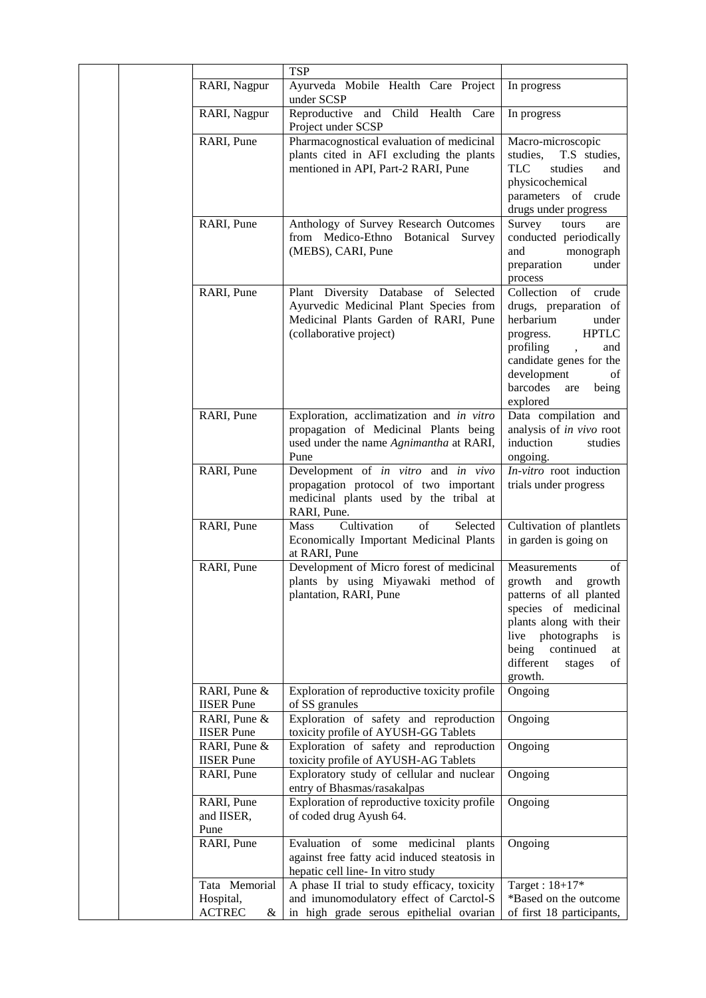|                                                   | <b>TSP</b>                                                                                                                                         |                                                                                                                                                                                                                     |
|---------------------------------------------------|----------------------------------------------------------------------------------------------------------------------------------------------------|---------------------------------------------------------------------------------------------------------------------------------------------------------------------------------------------------------------------|
| RARI, Nagpur                                      | Ayurveda Mobile Health Care Project<br>under SCSP                                                                                                  | In progress                                                                                                                                                                                                         |
| RARI, Nagpur                                      | Reproductive<br>Child Health Care<br>and<br>Project under SCSP                                                                                     | In progress                                                                                                                                                                                                         |
| RARI, Pune                                        | Pharmacognostical evaluation of medicinal<br>plants cited in AFI excluding the plants<br>mentioned in API, Part-2 RARI, Pune                       | Macro-microscopic<br>studies,<br>T.S studies,<br><b>TLC</b><br>studies<br>and<br>physicochemical<br>parameters of crude<br>drugs under progress                                                                     |
| RARI, Pune                                        | Anthology of Survey Research Outcomes<br>from Medico-Ethno Botanical<br>Survey<br>(MEBS), CARI, Pune                                               | Survey<br>tours<br>are<br>conducted periodically<br>and<br>monograph<br>preparation<br>under<br>process                                                                                                             |
| RARI, Pune                                        | Plant Diversity Database of Selected<br>Ayurvedic Medicinal Plant Species from<br>Medicinal Plants Garden of RARI, Pune<br>(collaborative project) | Collection<br>of crude<br>drugs, preparation of<br>herbarium<br>under<br><b>HPTLC</b><br>progress.<br>profiling<br>and<br>candidate genes for the<br>development<br>of<br>barcodes<br>being<br>are<br>explored      |
| RARI, Pune                                        | Exploration, acclimatization and in vitro<br>propagation of Medicinal Plants being<br>used under the name Agnimantha at RARI,<br>Pune              | Data compilation and<br>analysis of in vivo root<br>induction<br>studies<br>ongoing.                                                                                                                                |
| RARI, Pune                                        | Development of in vitro and in vivo<br>propagation protocol of two important<br>medicinal plants used by the tribal at<br>RARI, Pune.              | In-vitro root induction<br>trials under progress                                                                                                                                                                    |
| RARI, Pune                                        | Cultivation<br>Selected<br><b>Mass</b><br>of<br>Economically Important Medicinal Plants<br>at RARI, Pune                                           | Cultivation of plantlets<br>in garden is going on                                                                                                                                                                   |
| RARI, Pune                                        | Development of Micro forest of medicinal<br>plants by using Miyawaki method of<br>plantation, RARI, Pune                                           | Measurements<br>of<br>growth and growth<br>patterns of all planted<br>species of medicinal<br>plants along with their<br>live photographs<br>is<br>continued<br>being<br>at<br>different<br>of<br>stages<br>growth. |
| RARI, Pune &<br><b>IISER</b> Pune                 | Exploration of reproductive toxicity profile<br>of SS granules                                                                                     | Ongoing                                                                                                                                                                                                             |
| RARI, Pune &<br><b>IISER</b> Pune<br>RARI, Pune & | Exploration of safety and reproduction<br>toxicity profile of AYUSH-GG Tablets<br>Exploration of safety and reproduction                           | Ongoing<br>Ongoing                                                                                                                                                                                                  |
| <b>IISER</b> Pune<br>RARI, Pune                   | toxicity profile of AYUSH-AG Tablets<br>Exploratory study of cellular and nuclear                                                                  | Ongoing                                                                                                                                                                                                             |
| RARI, Pune<br>and IISER,<br>Pune                  | entry of Bhasmas/rasakalpas<br>Exploration of reproductive toxicity profile<br>of coded drug Ayush 64.                                             | Ongoing                                                                                                                                                                                                             |
| RARI, Pune                                        | Evaluation of some medicinal<br>plants<br>against free fatty acid induced steatosis in<br>hepatic cell line- In vitro study                        | Ongoing                                                                                                                                                                                                             |
| Tata Memorial<br>Hospital,<br><b>ACTREC</b><br>&  | A phase II trial to study efficacy, toxicity<br>and imunomodulatory effect of Carctol-S<br>in high grade serous epithelial ovarian                 | Target: $18+17*$<br>*Based on the outcome<br>of first 18 participants,                                                                                                                                              |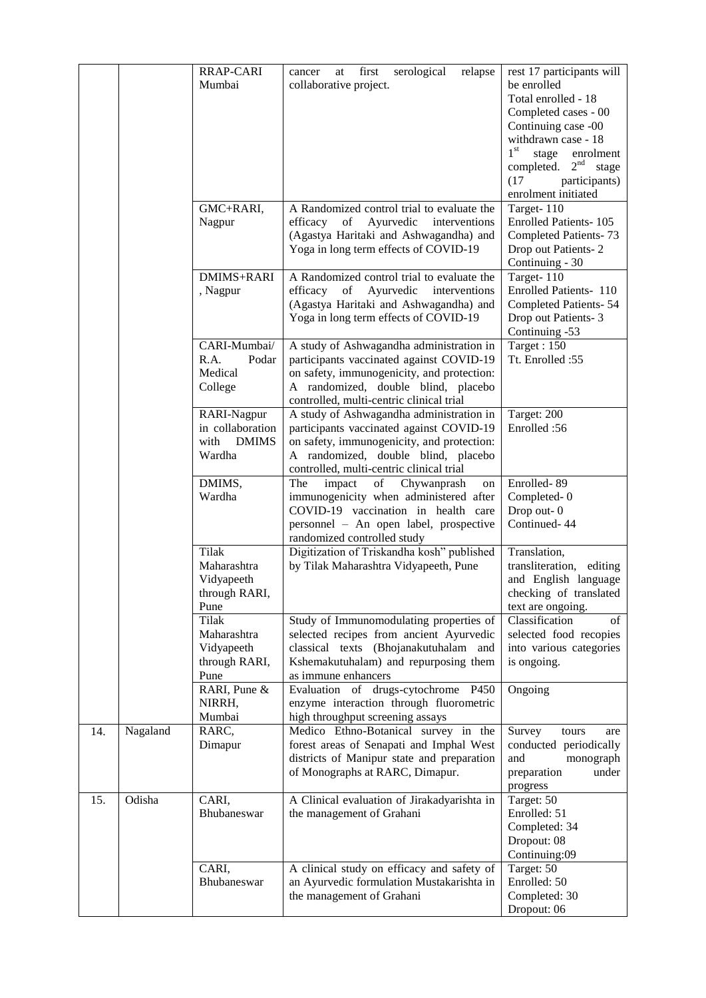|     |          | RRAP-CARI             | first<br>serological<br>relapse<br>cancer<br>at                                 | rest 17 participants will          |
|-----|----------|-----------------------|---------------------------------------------------------------------------------|------------------------------------|
|     |          | Mumbai                | collaborative project.                                                          | be enrolled                        |
|     |          |                       |                                                                                 | Total enrolled - 18                |
|     |          |                       |                                                                                 | Completed cases - 00               |
|     |          |                       |                                                                                 | Continuing case -00                |
|     |          |                       |                                                                                 | withdrawn case - 18                |
|     |          |                       |                                                                                 | $1^{\rm st}$<br>stage<br>enrolment |
|     |          |                       |                                                                                 | completed. $2nd$ stage             |
|     |          |                       |                                                                                 | (17)<br>participants)              |
|     |          |                       |                                                                                 | enrolment initiated                |
|     |          | GMC+RARI,             | A Randomized control trial to evaluate the                                      | Target-110                         |
|     |          | Nagpur                | Ayurvedic<br>interventions<br>efficacy<br>of                                    | <b>Enrolled Patients-105</b>       |
|     |          |                       | (Agastya Haritaki and Ashwagandha) and                                          | Completed Patients-73              |
|     |          |                       | Yoga in long term effects of COVID-19                                           | Drop out Patients-2                |
|     |          |                       |                                                                                 | Continuing - 30                    |
|     |          | DMIMS+RARI            | A Randomized control trial to evaluate the                                      | Target-110                         |
|     |          | , Nagpur              | efficacy<br>Ayurvedic<br>of<br>interventions                                    | Enrolled Patients- 110             |
|     |          |                       | (Agastya Haritaki and Ashwagandha) and                                          | <b>Completed Patients-54</b>       |
|     |          |                       | Yoga in long term effects of COVID-19                                           | Drop out Patients-3                |
|     |          |                       |                                                                                 | Continuing -53                     |
|     |          | CARI-Mumbai/          | A study of Ashwagandha administration in                                        | Target: 150                        |
|     |          | R.A.<br>Podar         | participants vaccinated against COVID-19                                        | Tt. Enrolled :55                   |
|     |          | Medical               | on safety, immunogenicity, and protection:                                      |                                    |
|     |          | College               | A randomized, double blind, placebo<br>controlled, multi-centric clinical trial |                                    |
|     |          | RARI-Nagpur           | A study of Ashwagandha administration in                                        | Target: 200                        |
|     |          | in collaboration      | participants vaccinated against COVID-19                                        | Enrolled: 56                       |
|     |          | with<br><b>DMIMS</b>  | on safety, immunogenicity, and protection:                                      |                                    |
|     |          | Wardha                | A randomized, double blind, placebo                                             |                                    |
|     |          |                       | controlled, multi-centric clinical trial                                        |                                    |
|     |          | DMIMS,                | The<br>of<br>Chywanprash<br>impact<br>on                                        | Enrolled-89                        |
|     |          | Wardha                | immunogenicity when administered after                                          | Completed-0                        |
|     |          |                       | COVID-19 vaccination in health care                                             | Drop out-0                         |
|     |          |                       | personnel - An open label, prospective                                          | Continued-44                       |
|     |          |                       | randomized controlled study                                                     |                                    |
|     |          | <b>Tilak</b>          | Digitization of Triskandha kosh" published                                      | Translation,                       |
|     |          | Maharashtra           | by Tilak Maharashtra Vidyapeeth, Pune                                           | transliteration, editing           |
|     |          | Vidyapeeth            |                                                                                 | and English language               |
|     |          | through RARI,         |                                                                                 | checking of translated             |
|     |          | Pune                  |                                                                                 | text are ongoing.                  |
|     |          | Tilak                 | Study of Immunomodulating properties of                                         | Classification<br>of               |
|     |          | Maharashtra           | selected recipes from ancient Ayurvedic                                         | selected food recopies             |
|     |          | Vidyapeeth            | classical texts (Bhojanakutuhalam and                                           | into various categories            |
|     |          | through RARI,<br>Pune | Kshemakutuhalam) and repurposing them<br>as immune enhancers                    | is ongoing.                        |
|     |          | RARI, Pune &          | Evaluation of drugs-cytochrome P450                                             | Ongoing                            |
|     |          | NIRRH,                | enzyme interaction through fluorometric                                         |                                    |
|     |          | Mumbai                | high throughput screening assays                                                |                                    |
| 14. | Nagaland | RARC,                 | Medico Ethno-Botanical survey in the                                            | Survey<br>tours<br>are             |
|     |          | Dimapur               | forest areas of Senapati and Imphal West                                        | conducted periodically             |
|     |          |                       | districts of Manipur state and preparation                                      | and<br>monograph                   |
|     |          |                       | of Monographs at RARC, Dimapur.                                                 | preparation<br>under               |
|     |          |                       |                                                                                 | progress                           |
| 15. | Odisha   | CARI,                 | A Clinical evaluation of Jirakadyarishta in                                     | Target: 50                         |
|     |          | Bhubaneswar           | the management of Grahani                                                       | Enrolled: 51                       |
|     |          |                       |                                                                                 | Completed: 34                      |
|     |          |                       |                                                                                 | Dropout: 08                        |
|     |          |                       |                                                                                 | Continuing:09                      |
|     |          | CARI,                 | A clinical study on efficacy and safety of                                      | Target: 50<br>Enrolled: 50         |
|     |          | Bhubaneswar           | an Ayurvedic formulation Mustakarishta in                                       |                                    |
|     |          |                       | the management of Grahani                                                       | Completed: 30                      |
|     |          |                       |                                                                                 | Dropout: 06                        |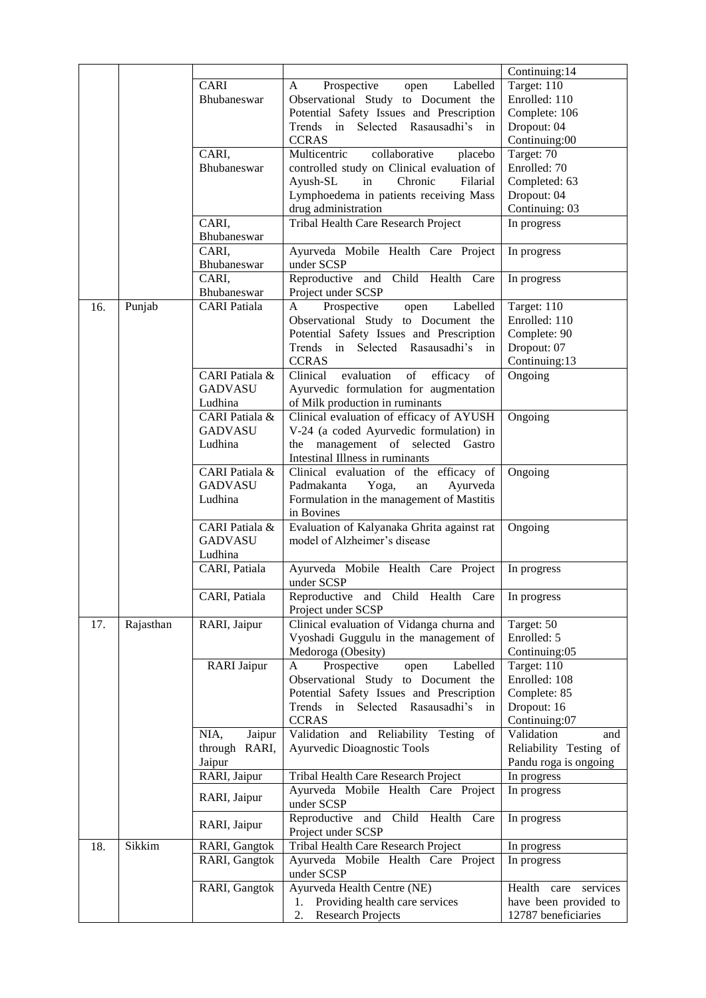|     |           |                     |                                                                                                                                                | Continuing:14              |
|-----|-----------|---------------------|------------------------------------------------------------------------------------------------------------------------------------------------|----------------------------|
|     |           | CARI                | Prospective<br>Labelled<br>open<br>A                                                                                                           | Target: 110                |
|     |           | Bhubaneswar         | Observational Study to Document the                                                                                                            | Enrolled: 110              |
|     |           |                     | Potential Safety Issues and Prescription                                                                                                       | Complete: 106              |
|     |           |                     | Trends in Selected Rasausadhi's in                                                                                                             | Dropout: 04                |
|     |           |                     | <b>CCRAS</b>                                                                                                                                   | Continuing:00              |
|     |           | CARI,               | collaborative<br>Multicentric<br>placebo                                                                                                       | Target: 70                 |
|     |           | Bhubaneswar         | controlled study on Clinical evaluation of                                                                                                     | Enrolled: 70               |
|     |           |                     | Chronic<br>Filarial<br>Ayush-SL<br>in                                                                                                          | Completed: 63              |
|     |           |                     | Lymphoedema in patients receiving Mass                                                                                                         | Dropout: 04                |
|     |           |                     | drug administration                                                                                                                            | Continuing: 03             |
|     |           | CARI,               | Tribal Health Care Research Project                                                                                                            | In progress                |
|     |           | Bhubaneswar         |                                                                                                                                                |                            |
|     |           | CARI,               | Ayurveda Mobile Health Care Project                                                                                                            | In progress                |
|     |           | Bhubaneswar         | under SCSP                                                                                                                                     |                            |
|     |           | CARI,               | Reproductive and Child Health Care                                                                                                             | In progress                |
|     |           | Bhubaneswar         | Project under SCSP                                                                                                                             |                            |
| 16. | Punjab    | <b>CARI</b> Patiala | Labelled<br>Prospective<br>open<br>A                                                                                                           | Target: 110                |
|     |           |                     | Observational Study to Document the                                                                                                            | Enrolled: 110              |
|     |           |                     | Potential Safety Issues and Prescription                                                                                                       | Complete: 90               |
|     |           |                     | Trends in Selected Rasausadhi's<br>in                                                                                                          | Dropout: 07                |
|     |           |                     | <b>CCRAS</b>                                                                                                                                   | Continuing:13              |
|     |           | CARI Patiala &      | Clinical<br>evaluation<br>$% \left( \left( \mathcal{A},\mathcal{A}\right) \right) =\left( \mathcal{A},\mathcal{A}\right)$ of<br>efficacy<br>of | $O$ ngoing                 |
|     |           | <b>GADVASU</b>      | Ayurvedic formulation for augmentation                                                                                                         |                            |
|     |           | Ludhina             | of Milk production in ruminants                                                                                                                |                            |
|     |           | CARI Patiala &      | Clinical evaluation of efficacy of AYUSH                                                                                                       | $O$ ngoing                 |
|     |           | <b>GADVASU</b>      | V-24 (a coded Ayurvedic formulation) in                                                                                                        |                            |
|     |           | Ludhina             | the management of selected Gastro                                                                                                              |                            |
|     |           |                     | Intestinal Illness in ruminants                                                                                                                |                            |
|     |           | CARI Patiala &      | Clinical evaluation of the efficacy of                                                                                                         | Ongoing                    |
|     |           | <b>GADVASU</b>      | Ayurveda<br>Padmakanta<br>Yoga,<br>an                                                                                                          |                            |
|     |           | Ludhina             | Formulation in the management of Mastitis                                                                                                      |                            |
|     |           |                     | in Bovines                                                                                                                                     |                            |
|     |           | CARI Patiala &      | Evaluation of Kalyanaka Ghrita against rat                                                                                                     | Ongoing                    |
|     |           | <b>GADVASU</b>      | model of Alzheimer's disease                                                                                                                   |                            |
|     |           | Ludhina             |                                                                                                                                                |                            |
|     |           | CARI, Patiala       | Ayurveda Mobile Health Care Project                                                                                                            | In progress                |
|     |           |                     | under SCSP                                                                                                                                     |                            |
|     |           | CARI, Patiala       | Reproductive and Child Health Care<br>Project under SCSP                                                                                       | In progress                |
| 17. | Rajasthan | RARI, Jaipur        | Clinical evaluation of Vidanga churna and                                                                                                      | Target: 50                 |
|     |           |                     | Vyoshadi Guggulu in the management of                                                                                                          | Enrolled: 5                |
|     |           |                     | Medoroga (Obesity)                                                                                                                             | Continuing:05              |
|     |           | <b>RARI</b> Jaipur  | Labelled<br>Prospective<br>A<br>open                                                                                                           | Target: 110                |
|     |           |                     | Observational Study to Document the                                                                                                            | Enrolled: 108              |
|     |           |                     | Potential Safety Issues and Prescription                                                                                                       | Complete: 85               |
|     |           |                     | Trends<br>Selected Rasausadhi's<br>in<br>in                                                                                                    | Dropout: 16                |
|     |           |                     | <b>CCRAS</b>                                                                                                                                   | Continuing:07              |
|     |           | NIA,<br>Jaipur      | Validation and Reliability<br>Testing<br>of                                                                                                    | Validation<br>and          |
|     |           | RARI,<br>through    | Ayurvedic Dioagnostic Tools                                                                                                                    | Reliability Testing of     |
|     |           | Jaipur              |                                                                                                                                                | Pandu roga is ongoing      |
|     |           | RARI, Jaipur        | Tribal Health Care Research Project                                                                                                            | In progress                |
|     |           |                     | Ayurveda Mobile Health Care Project                                                                                                            | In progress                |
|     |           | RARI, Jaipur        | under SCSP                                                                                                                                     |                            |
|     |           | RARI, Jaipur        | Reproductive and<br>Child Health Care                                                                                                          | In progress                |
|     |           |                     | Project under SCSP                                                                                                                             |                            |
| 18. | Sikkim    | RARI, Gangtok       | Tribal Health Care Research Project                                                                                                            | In progress                |
|     |           | RARI, Gangtok       | Ayurveda Mobile Health Care Project<br>under SCSP                                                                                              | In progress                |
|     |           | RARI, Gangtok       | Ayurveda Health Centre (NE)                                                                                                                    | Health<br>care<br>services |
|     |           |                     | Providing health care services<br>1.                                                                                                           | have been provided to      |
|     |           |                     | <b>Research Projects</b><br>2.                                                                                                                 | 12787 beneficiaries        |
|     |           |                     |                                                                                                                                                |                            |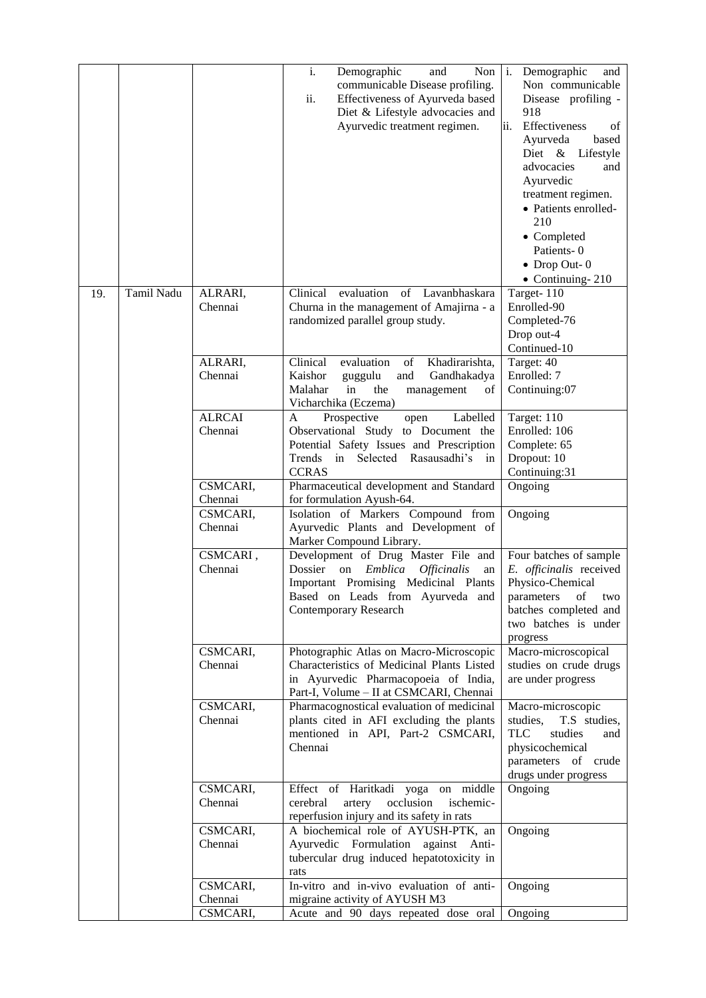|     |            |                                          | $\mathbf{i}$ .<br>Demographic<br>Non<br>and<br>communicable Disease profiling.<br>ii.<br>Effectiveness of Ayurveda based<br>Diet & Lifestyle advocacies and<br>Ayurvedic treatment regimen.                              | $\mathbf{1}$ .<br>Demographic<br>and<br>Non communicable<br>Disease profiling -<br>918<br>ii.<br>Effectiveness<br>of<br>based<br>Ayurveda<br>Diet & Lifestyle<br>advocacies<br>and<br>Ayurvedic<br>treatment regimen.<br>• Patients enrolled-<br>210<br>• Completed<br>Patients-0<br>$\bullet$ Drop Out-0<br>$\bullet$ Continuing-210 |
|-----|------------|------------------------------------------|--------------------------------------------------------------------------------------------------------------------------------------------------------------------------------------------------------------------------|---------------------------------------------------------------------------------------------------------------------------------------------------------------------------------------------------------------------------------------------------------------------------------------------------------------------------------------|
| 19. | Tamil Nadu | ALRARI,<br>Chennai<br>ALRARI,<br>Chennai | Clinical<br>evaluation<br>of Lavanbhaskara<br>Churna in the management of Amajirna - a<br>randomized parallel group study.<br>Clinical<br>Khadirarishta,<br>evaluation<br>of<br>Kaishor<br>Gandhakadya<br>guggulu<br>and | Target-110<br>Enrolled-90<br>Completed-76<br>Drop out-4<br>Continued-10<br>Target: 40<br>Enrolled: 7                                                                                                                                                                                                                                  |
|     |            |                                          | Malahar<br>in<br>the<br>management<br>of<br>Vicharchika (Eczema)                                                                                                                                                         | Continuing:07                                                                                                                                                                                                                                                                                                                         |
|     |            | <b>ALRCAI</b><br>Chennai                 | Prospective<br>Labelled<br>A<br>open<br>Observational Study to Document the<br>Potential Safety Issues and Prescription<br>in<br>Selected Rasausadhi's<br>Trends<br>in<br><b>CCRAS</b>                                   | Target: 110<br>Enrolled: 106<br>Complete: 65<br>Dropout: 10<br>Continuing:31                                                                                                                                                                                                                                                          |
|     |            | CSMCARI,<br>Chennai                      | Pharmaceutical development and Standard<br>for formulation Ayush-64.                                                                                                                                                     | Ongoing                                                                                                                                                                                                                                                                                                                               |
|     |            | CSMCARI,<br>Chennai                      | Isolation of Markers Compound from<br>Ayurvedic Plants and Development of<br>Marker Compound Library.                                                                                                                    | Ongoing                                                                                                                                                                                                                                                                                                                               |
|     |            | CSMCARI,<br>Chennai                      | Development of Drug Master File and<br>Dossier<br>on<br>Emblica<br><i><b>Officinalis</b></i><br>an<br>Important Promising Medicinal Plants<br>Based on Leads from Ayurveda and<br><b>Contemporary Research</b>           | Four batches of sample<br>E. officinalis received<br>Physico-Chemical<br>two<br>parameters<br>$\sigma$<br>batches completed and<br>two batches is under<br>progress                                                                                                                                                                   |
|     |            | CSMCARI,<br>Chennai                      | Photographic Atlas on Macro-Microscopic<br>Characteristics of Medicinal Plants Listed<br>in Ayurvedic Pharmacopoeia of India,<br>Part-I, Volume - II at CSMCARI, Chennai                                                 | Macro-microscopical<br>studies on crude drugs<br>are under progress                                                                                                                                                                                                                                                                   |
|     |            | CSMCARI,<br>Chennai                      | Pharmacognostical evaluation of medicinal<br>plants cited in AFI excluding the plants<br>mentioned in API, Part-2 CSMCARI,<br>Chennai                                                                                    | Macro-microscopic<br>studies,<br>T.S studies,<br><b>TLC</b><br>studies<br>and<br>physicochemical<br>parameters of crude<br>drugs under progress                                                                                                                                                                                       |
|     |            | CSMCARI,<br>Chennai                      | Effect of Haritkadi yoga on middle<br>cerebral<br>artery<br>occlusion<br>ischemic-<br>reperfusion injury and its safety in rats                                                                                          | Ongoing                                                                                                                                                                                                                                                                                                                               |
|     |            | CSMCARI,<br>Chennai                      | A biochemical role of AYUSH-PTK, an<br>Ayurvedic Formulation against Anti-<br>tubercular drug induced hepatotoxicity in<br>rats                                                                                          | Ongoing                                                                                                                                                                                                                                                                                                                               |
|     |            | CSMCARI,<br>Chennai                      | In-vitro and in-vivo evaluation of anti-<br>migraine activity of AYUSH M3                                                                                                                                                | Ongoing                                                                                                                                                                                                                                                                                                                               |
|     |            | CSMCARI,                                 | Acute and 90 days repeated dose oral                                                                                                                                                                                     | Ongoing                                                                                                                                                                                                                                                                                                                               |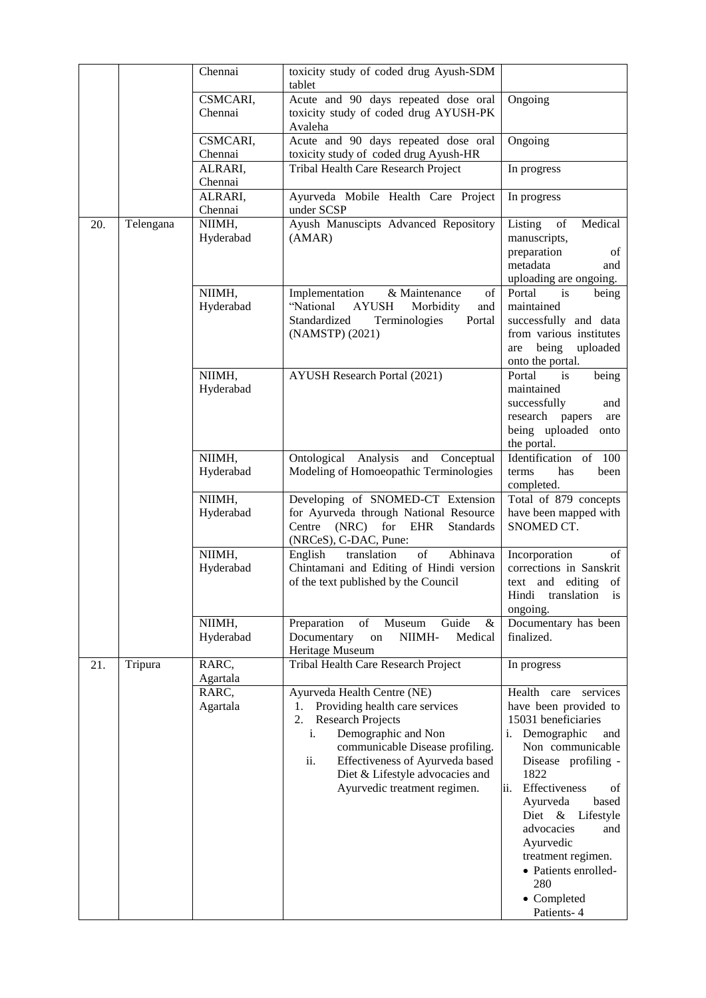|     |           | Chennai             | toxicity study of coded drug Ayush-SDM<br>tablet                                                                                                                                                                                                                         |                                                                                                                                                                                                                                                                                                                                             |
|-----|-----------|---------------------|--------------------------------------------------------------------------------------------------------------------------------------------------------------------------------------------------------------------------------------------------------------------------|---------------------------------------------------------------------------------------------------------------------------------------------------------------------------------------------------------------------------------------------------------------------------------------------------------------------------------------------|
|     |           | CSMCARI,            | Acute and 90 days repeated dose oral                                                                                                                                                                                                                                     | Ongoing                                                                                                                                                                                                                                                                                                                                     |
|     |           | Chennai             | toxicity study of coded drug AYUSH-PK<br>Avaleha                                                                                                                                                                                                                         |                                                                                                                                                                                                                                                                                                                                             |
|     |           | CSMCARI,<br>Chennai | Acute and 90 days repeated dose oral<br>toxicity study of coded drug Ayush-HR                                                                                                                                                                                            | Ongoing                                                                                                                                                                                                                                                                                                                                     |
|     |           | ALRARI,<br>Chennai  | Tribal Health Care Research Project                                                                                                                                                                                                                                      | In progress                                                                                                                                                                                                                                                                                                                                 |
|     |           | ALRARI,<br>Chennai  | Ayurveda Mobile Health Care Project<br>under SCSP                                                                                                                                                                                                                        | In progress                                                                                                                                                                                                                                                                                                                                 |
| 20. | Telengana | NIIMH,              | Ayush Manuscipts Advanced Repository                                                                                                                                                                                                                                     | Medical<br>Listing<br>of                                                                                                                                                                                                                                                                                                                    |
|     |           | Hyderabad           | (AMAR)                                                                                                                                                                                                                                                                   | manuscripts,<br>preparation<br>of                                                                                                                                                                                                                                                                                                           |
|     |           |                     |                                                                                                                                                                                                                                                                          | metadata<br>and<br>uploading are ongoing.                                                                                                                                                                                                                                                                                                   |
|     |           | NIIMH,<br>Hyderabad | & Maintenance<br>of<br>Implementation<br>"National<br><b>AYUSH</b><br>Morbidity<br>and                                                                                                                                                                                   | Portal<br>being<br>is<br>maintained                                                                                                                                                                                                                                                                                                         |
|     |           |                     | Standardized<br>Terminologies<br>Portal<br>(NAMSTP) (2021)                                                                                                                                                                                                               | successfully and data<br>from various institutes                                                                                                                                                                                                                                                                                            |
|     |           |                     |                                                                                                                                                                                                                                                                          | being<br>uploaded<br>are<br>onto the portal.                                                                                                                                                                                                                                                                                                |
|     |           | NIIMH,<br>Hyderabad | <b>AYUSH Research Portal (2021)</b>                                                                                                                                                                                                                                      | Portal<br>being<br>is<br>maintained                                                                                                                                                                                                                                                                                                         |
|     |           |                     |                                                                                                                                                                                                                                                                          | successfully<br>and                                                                                                                                                                                                                                                                                                                         |
|     |           |                     |                                                                                                                                                                                                                                                                          | research papers<br>are<br>being uploaded<br>onto<br>the portal.                                                                                                                                                                                                                                                                             |
|     |           | NIIMH,              | Ontological Analysis<br>and Conceptual                                                                                                                                                                                                                                   | Identification of 100                                                                                                                                                                                                                                                                                                                       |
|     |           | Hyderabad           | Modeling of Homoeopathic Terminologies                                                                                                                                                                                                                                   | terms<br>has<br>been<br>completed.                                                                                                                                                                                                                                                                                                          |
|     |           | NIIMH,<br>Hyderabad | Developing of SNOMED-CT Extension<br>for Ayurveda through National Resource<br>(NRC)<br>for EHR<br>Centre<br>Standards<br>(NRCeS), C-DAC, Pune:                                                                                                                          | Total of 879 concepts<br>have been mapped with<br>SNOMED CT.                                                                                                                                                                                                                                                                                |
|     |           | NIIMH,<br>Hyderabad | English<br>of<br>Abhinava<br>translation<br>Chintamani and Editing of Hindi version<br>of the text published by the Council                                                                                                                                              | Incorporation<br>of<br>corrections in Sanskrit<br>text and editing of<br>Hindi translation<br>is<br>ongoing.                                                                                                                                                                                                                                |
|     |           | NIIMH,<br>Hyderabad | Preparation<br>of<br>Guide<br>Museum<br>&<br>NIIMH-<br>Medical<br>Documentary<br>on<br>Heritage Museum                                                                                                                                                                   | Documentary has been<br>finalized.                                                                                                                                                                                                                                                                                                          |
| 21. | Tripura   | RARC,<br>Agartala   | Tribal Health Care Research Project                                                                                                                                                                                                                                      | In progress                                                                                                                                                                                                                                                                                                                                 |
|     |           | RARC,<br>Agartala   | Ayurveda Health Centre (NE)<br>Providing health care services<br>1.<br>2. Research Projects<br>Demographic and Non<br>i.<br>communicable Disease profiling.<br>ii.<br>Effectiveness of Ayurveda based<br>Diet & Lifestyle advocacies and<br>Ayurvedic treatment regimen. | Health care services<br>have been provided to<br>15031 beneficiaries<br>i. Demographic<br>and<br>Non communicable<br>Disease profiling -<br>1822<br>Effectiveness<br>ii.<br>of<br>Ayurveda<br>based<br>Diet & Lifestyle<br>advocacies<br>and<br>Ayurvedic<br>treatment regimen.<br>· Patients enrolled-<br>280<br>• Completed<br>Patients-4 |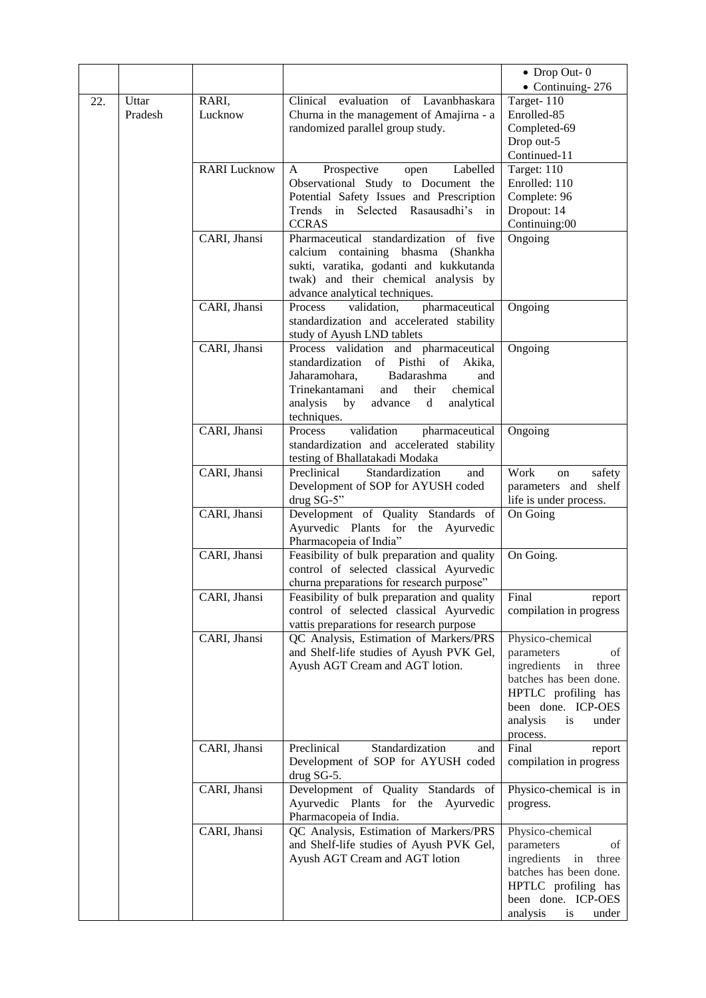|     |         |                     |                                                                                        | $\bullet$ Drop Out-0                      |
|-----|---------|---------------------|----------------------------------------------------------------------------------------|-------------------------------------------|
|     |         |                     |                                                                                        | $\bullet$ Continuing-276                  |
| 22. | Uttar   | RARI,               | Clinical evaluation of Lavanbhaskara                                                   | Target- $110$                             |
|     | Pradesh | Lucknow             | Churna in the management of Amajirna - a                                               | Enrolled-85                               |
|     |         |                     | randomized parallel group study.                                                       | Completed-69                              |
|     |         |                     |                                                                                        | Drop out-5                                |
|     |         |                     |                                                                                        | Continued-11                              |
|     |         | <b>RARI</b> Lucknow | Prospective<br>Labelled<br>A<br>open                                                   | Target: 110                               |
|     |         |                     | Observational Study to Document the                                                    | Enrolled: 110                             |
|     |         |                     | Potential Safety Issues and Prescription<br>Trends in Selected Rasausadhi's in         | Complete: 96<br>Dropout: 14               |
|     |         |                     | <b>CCRAS</b>                                                                           | Continuing:00                             |
|     |         | CARI, Jhansi        | Pharmaceutical standardization of five                                                 | Ongoing                                   |
|     |         |                     | calcium containing bhasma (Shankha                                                     |                                           |
|     |         |                     | sukti, varatika, godanti and kukkutanda                                                |                                           |
|     |         |                     | twak) and their chemical analysis by                                                   |                                           |
|     |         |                     | advance analytical techniques.                                                         |                                           |
|     |         | CARI, Jhansi        | pharmaceutical<br>Process<br>validation,                                               | Ongoing                                   |
|     |         |                     | standardization and accelerated stability                                              |                                           |
|     |         |                     | study of Ayush LND tablets                                                             |                                           |
|     |         | CARI, Jhansi        | Process validation and pharmaceutical                                                  | Ongoing                                   |
|     |         |                     | standardization of Pisthi of<br>Akika,                                                 |                                           |
|     |         |                     | Jaharamohara,<br>Badarashma<br>and                                                     |                                           |
|     |         |                     | chemical<br>Trinekantamani<br>and<br>their<br>analysis<br>advance d<br>analytical      |                                           |
|     |         |                     | by<br>techniques.                                                                      |                                           |
|     |         | CARI, Jhansi        | Process<br>validation<br>pharmaceutical                                                | Ongoing                                   |
|     |         |                     | standardization and accelerated stability                                              |                                           |
|     |         |                     | testing of Bhallatakadi Modaka                                                         |                                           |
|     |         | CARI, Jhansi        | Preclinical<br>Standardization<br>and                                                  | Work<br>safety<br>on                      |
|     |         |                     | Development of SOP for AYUSH coded                                                     | parameters and shelf                      |
|     |         |                     | drug SG-5"                                                                             | life is under process.                    |
|     |         | CARI, Jhansi        | Development of Quality Standards of                                                    | On Going                                  |
|     |         |                     | Ayurvedic Plants for the Ayurvedic                                                     |                                           |
|     |         | CARI, Jhansi        | Pharmacopeia of India"                                                                 | On Going.                                 |
|     |         |                     | Feasibility of bulk preparation and quality<br>control of selected classical Ayurvedic |                                           |
|     |         |                     | churna preparations for research purpose"                                              |                                           |
|     |         | CARI, Jhansi        | Feasibility of bulk preparation and quality   Final                                    | report                                    |
|     |         |                     | control of selected classical Ayurvedic                                                | compilation in progress                   |
|     |         |                     | vattis preparations for research purpose                                               |                                           |
|     |         | CARI, Jhansi        | QC Analysis, Estimation of Markers/PRS                                                 | Physico-chemical                          |
|     |         |                     | and Shelf-life studies of Ayush PVK Gel,                                               | parameters<br>οf                          |
|     |         |                     | Ayush AGT Cream and AGT lotion.                                                        | ingredients<br>in<br>three                |
|     |         |                     |                                                                                        | batches has been done.                    |
|     |         |                     |                                                                                        | HPTLC profiling has                       |
|     |         |                     |                                                                                        | been done. ICP-OES<br>is                  |
|     |         |                     |                                                                                        | analysis<br>under<br>process.             |
|     |         | CARI, Jhansi        | Standardization<br>Preclinical<br>and                                                  | Final<br>report                           |
|     |         |                     | Development of SOP for AYUSH coded                                                     | compilation in progress                   |
|     |         |                     | drug SG-5.                                                                             |                                           |
|     |         | CARI, Jhansi        | Development of Quality Standards of                                                    | Physico-chemical is in                    |
|     |         |                     | Ayurvedic Plants for the Ayurvedic                                                     | progress.                                 |
|     |         |                     | Pharmacopeia of India.                                                                 |                                           |
|     |         | CARI, Jhansi        | QC Analysis, Estimation of Markers/PRS                                                 | Physico-chemical                          |
|     |         |                     | and Shelf-life studies of Ayush PVK Gel,                                               | parameters<br>οf                          |
|     |         |                     | Ayush AGT Cream and AGT lotion                                                         | ingredients<br>in<br>three                |
|     |         |                     |                                                                                        | batches has been done.                    |
|     |         |                     |                                                                                        | HPTLC profiling has<br>been done. ICP-OES |
|     |         |                     |                                                                                        | analysis<br>is<br>under                   |
|     |         |                     |                                                                                        |                                           |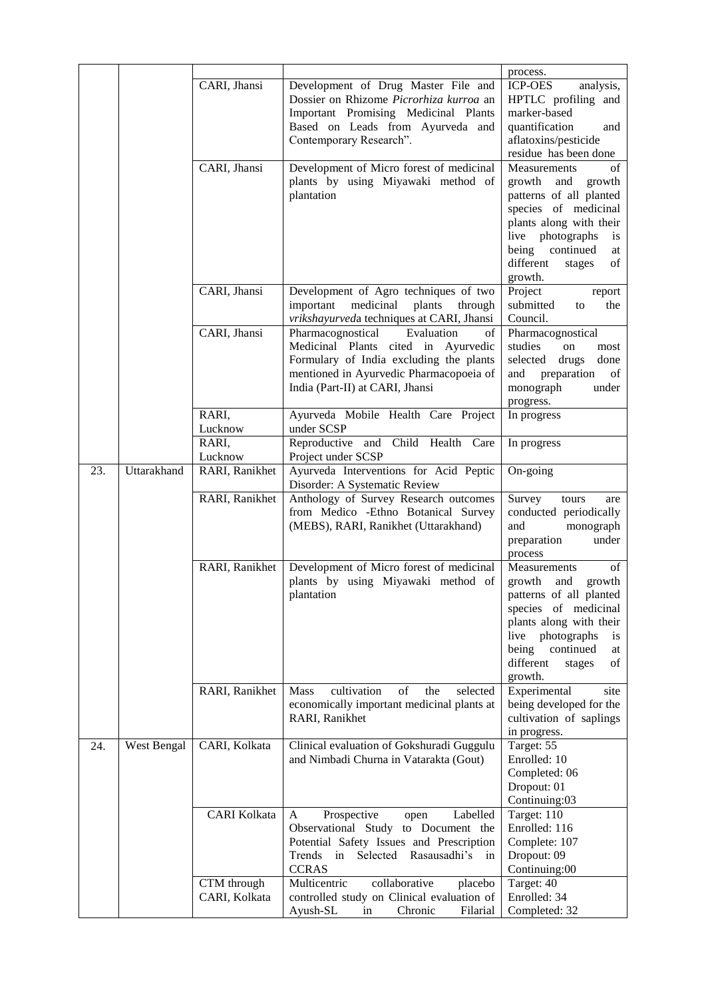|     |             | CARI, Jhansi<br>CARI, Jhansi | Development of Drug Master File and<br>Dossier on Rhizome Picrorhiza kurroa an<br>Important Promising Medicinal Plants<br>Based on Leads from Ayurveda and<br>Contemporary Research".<br>Development of Micro forest of medicinal<br>plants by using Miyawaki method of<br>plantation | process.<br><b>ICP-OES</b><br>analysis,<br>HPTLC profiling and<br>marker-based<br>quantification<br>and<br>aflatoxins/pesticide<br>residue has been done<br>of<br>Measurements<br>growth and<br>growth<br>patterns of all planted<br>species of medicinal<br>plants along with their<br>live photographs<br><i>is</i><br>being<br>continued<br>at<br>different<br>of<br>stages |
|-----|-------------|------------------------------|---------------------------------------------------------------------------------------------------------------------------------------------------------------------------------------------------------------------------------------------------------------------------------------|--------------------------------------------------------------------------------------------------------------------------------------------------------------------------------------------------------------------------------------------------------------------------------------------------------------------------------------------------------------------------------|
|     |             | CARI, Jhansi                 | Development of Agro techniques of two<br>medicinal<br>plants<br>important<br>through<br>vrikshayurveda techniques at CARI, Jhansi                                                                                                                                                     | growth.<br>Project<br>report<br>submitted<br>to<br>the<br>Council.                                                                                                                                                                                                                                                                                                             |
|     |             | CARI, Jhansi                 | Pharmacognostical<br>Evaluation<br>of<br>Medicinal Plants cited in Ayurvedic<br>Formulary of India excluding the plants<br>mentioned in Ayurvedic Pharmacopoeia of<br>India (Part-II) at CARI, Jhansi                                                                                 | Pharmacognostical<br>studies<br>on<br>most<br>selected drugs<br>done<br>preparation<br>and<br>of<br>monograph<br>under<br>progress.                                                                                                                                                                                                                                            |
|     |             | RARI,<br>Lucknow             | Ayurveda Mobile Health Care Project<br>under SCSP                                                                                                                                                                                                                                     | In progress                                                                                                                                                                                                                                                                                                                                                                    |
|     |             | RARI,<br>Lucknow             | Reproductive and Child Health Care<br>Project under SCSP                                                                                                                                                                                                                              | In progress                                                                                                                                                                                                                                                                                                                                                                    |
| 23. | Uttarakhand | RARI, Ranikhet               | Ayurveda Interventions for Acid Peptic<br>Disorder: A Systematic Review                                                                                                                                                                                                               | On-going                                                                                                                                                                                                                                                                                                                                                                       |
|     |             | RARI, Ranikhet               | Anthology of Survey Research outcomes<br>from Medico -Ethno Botanical Survey<br>(MEBS), RARI, Ranikhet (Uttarakhand)                                                                                                                                                                  | Survey<br>tours<br>are<br>conducted periodically<br>and<br>monograph<br>preparation<br>under<br>process                                                                                                                                                                                                                                                                        |
|     |             | RARI, Ranikhet               | Development of Micro forest of medicinal<br>plants by using Miyawaki method of<br>plantation                                                                                                                                                                                          | Measurements<br>οf<br>growth<br>and<br>growth<br>patterns of all planted<br>species of medicinal<br>plants along with their<br>photographs<br>live<br>1S<br>being<br>continued<br>at<br>different<br>stages<br>of<br>growth.                                                                                                                                                   |
|     |             | RARI, Ranikhet               | Mass<br>cultivation<br>of<br>the<br>selected<br>economically important medicinal plants at<br>RARI, Ranikhet                                                                                                                                                                          | Experimental<br>site<br>being developed for the<br>cultivation of saplings<br>in progress.                                                                                                                                                                                                                                                                                     |
| 24. | West Bengal | CARI, Kolkata                | Clinical evaluation of Gokshuradi Guggulu<br>and Nimbadi Churna in Vatarakta (Gout)                                                                                                                                                                                                   | Target: 55<br>Enrolled: 10<br>Completed: 06<br>Dropout: 01<br>Continuing:03                                                                                                                                                                                                                                                                                                    |
|     |             | <b>CARI Kolkata</b>          | Prospective<br>Labelled<br>A<br>open<br>Observational Study to Document the<br>Potential Safety Issues and Prescription<br>Trends<br>Selected<br>Rasausadhi's in<br>in<br><b>CCRAS</b>                                                                                                | Target: 110<br>Enrolled: 116<br>Complete: 107<br>Dropout: 09<br>Continuing:00                                                                                                                                                                                                                                                                                                  |
|     |             | CTM through<br>CARI, Kolkata | collaborative<br>Multicentric<br>placebo<br>controlled study on Clinical evaluation of<br>Chronic<br>Ayush-SL<br>Filarial<br>in                                                                                                                                                       | Target: 40<br>Enrolled: 34<br>Completed: 32                                                                                                                                                                                                                                                                                                                                    |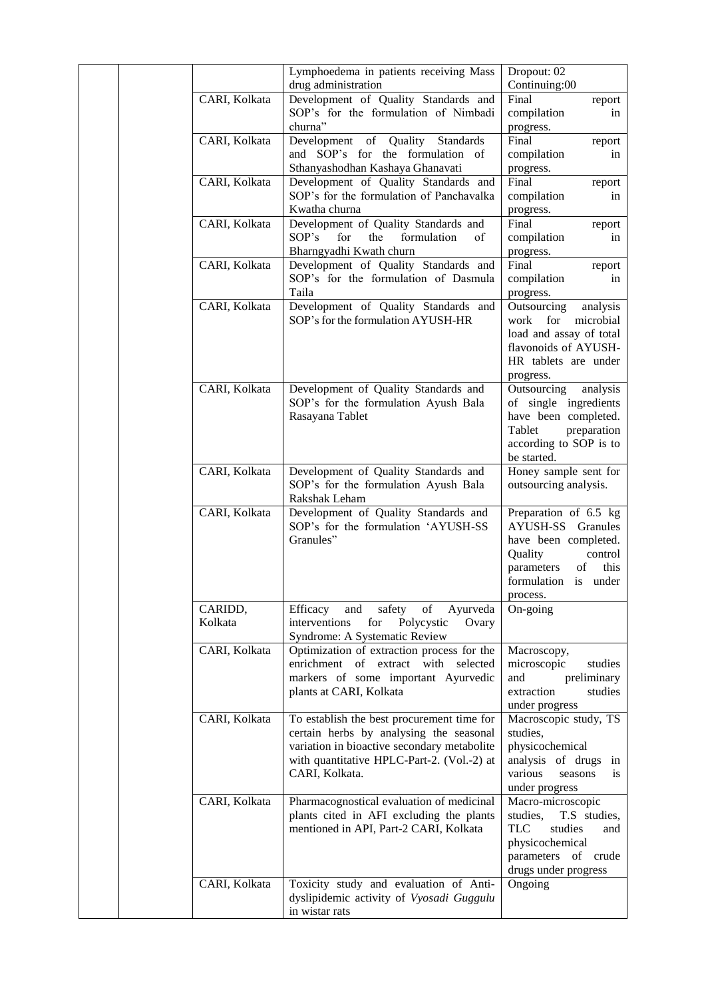|  |               | Lymphoedema in patients receiving Mass<br>drug administration | Dropout: 02<br>Continuing:00    |
|--|---------------|---------------------------------------------------------------|---------------------------------|
|  | CARI, Kolkata | Development of Quality Standards and                          | Final<br>report                 |
|  |               | SOP's for the formulation of Nimbadi                          | compilation<br>in               |
|  |               | churna"                                                       | progress.                       |
|  | CARI, Kolkata | Development<br>of Quality<br>Standards                        | Final<br>report                 |
|  |               | and SOP's for the formulation of                              | compilation<br>in               |
|  |               | Sthanyashodhan Kashaya Ghanavati                              |                                 |
|  |               |                                                               | progress.<br>Final              |
|  | CARI, Kolkata | Development of Quality Standards and                          | report                          |
|  |               | SOP's for the formulation of Panchavalka                      | compilation<br>in               |
|  |               | Kwatha churna                                                 | progress.                       |
|  | CARI, Kolkata | Development of Quality Standards and                          | Final<br>report                 |
|  |               | SOP's<br>for<br>the<br>formulation<br>of                      | compilation<br>in               |
|  |               | Bharngyadhi Kwath churn                                       | progress.                       |
|  | CARI, Kolkata | Development of Quality Standards and                          | Final<br>report                 |
|  |               | SOP's for the formulation of Dasmula                          | compilation<br>in               |
|  |               | Taila                                                         | progress.                       |
|  | CARI, Kolkata | Development of Quality Standards and                          | Outsourcing<br>analysis         |
|  |               | SOP's for the formulation AYUSH-HR                            | for<br>microbial<br>work        |
|  |               |                                                               | load and assay of total         |
|  |               |                                                               | flavonoids of AYUSH-            |
|  |               |                                                               | HR tablets are under            |
|  |               |                                                               | progress.                       |
|  | CARI, Kolkata | Development of Quality Standards and                          | Outsourcing<br>analysis         |
|  |               | SOP's for the formulation Ayush Bala                          | of single ingredients           |
|  |               | Rasayana Tablet                                               | have been completed.            |
|  |               |                                                               | Tablet<br>preparation           |
|  |               |                                                               | according to SOP is to          |
|  |               |                                                               | be started.                     |
|  | CARI, Kolkata | Development of Quality Standards and                          | Honey sample sent for           |
|  |               | SOP's for the formulation Ayush Bala                          | outsourcing analysis.           |
|  |               | Rakshak Leham                                                 |                                 |
|  | CARI, Kolkata | Development of Quality Standards and                          | Preparation of 6.5 kg           |
|  |               | SOP's for the formulation 'AYUSH-SS                           | <b>AYUSH-SS</b> Granules        |
|  |               | Granules"                                                     | have been completed.            |
|  |               |                                                               | Quality<br>control              |
|  |               |                                                               | parameters<br>this<br>of        |
|  |               |                                                               | formulation is under            |
|  |               |                                                               | process.                        |
|  | CARIDD,       | Efficacy<br>and<br>safety<br>of<br>Ayurveda                   | On-going                        |
|  | Kolkata       | interventions<br>for<br>Polycystic<br>Ovary                   |                                 |
|  |               | Syndrome: A Systematic Review                                 |                                 |
|  | CARI, Kolkata | Optimization of extraction process for the                    | Macroscopy,                     |
|  |               | enrichment of extract with selected                           | studies<br>microscopic          |
|  |               | markers of some important Ayurvedic                           | and<br>preliminary              |
|  |               | plants at CARI, Kolkata                                       | extraction<br>studies           |
|  |               |                                                               | under progress                  |
|  | CARI, Kolkata | To establish the best procurement time for                    | Macroscopic study, TS           |
|  |               | certain herbs by analysing the seasonal                       | studies,                        |
|  |               | variation in bioactive secondary metabolite                   | physicochemical                 |
|  |               | with quantitative HPLC-Part-2. (Vol.-2) at                    | analysis of drugs in            |
|  |               | CARI, Kolkata.                                                | various<br>seasons<br><i>is</i> |
|  |               |                                                               | under progress                  |
|  | CARI, Kolkata | Pharmacognostical evaluation of medicinal                     | Macro-microscopic               |
|  |               | plants cited in AFI excluding the plants                      | studies,<br>T.S studies,        |
|  |               | mentioned in API, Part-2 CARI, Kolkata                        | <b>TLC</b><br>studies<br>and    |
|  |               |                                                               | physicochemical                 |
|  |               |                                                               | parameters of crude             |
|  |               |                                                               | drugs under progress            |
|  | CARI, Kolkata | Toxicity study and evaluation of Anti-                        | Ongoing                         |
|  |               | dyslipidemic activity of Vyosadi Guggulu                      |                                 |
|  |               | in wistar rats                                                |                                 |